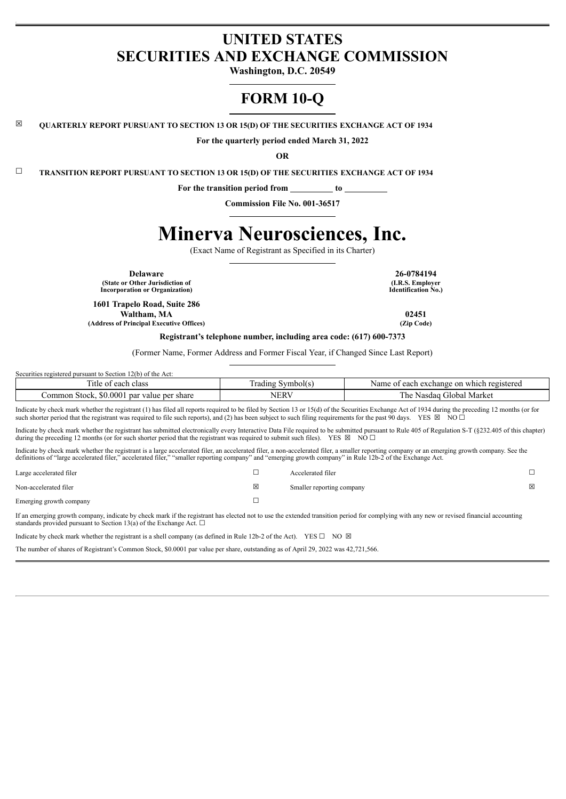# **UNITED STATES SECURITIES AND EXCHANGE COMMISSION**

**Washington, D.C. 20549**

# **FORM 10-Q**

☒ **QUARTERLY REPORT PURSUANT TO SECTION 13 OR 15(D) OF THE SECURITIES EXCHANGE ACT OF 1934**

**For the quarterly period ended March 31, 2022**

**OR**

☐ **TRANSITION REPORT PURSUANT TO SECTION 13 OR 15(D) OF THE SECURITIES EXCHANGE ACT OF 1934**

**For the transition period from to**

**Commission File No. 001-36517**

# **Minerva Neurosciences, Inc.**

(Exact Name of Registrant as Specified in its Charter)

**Delaware 26-0784194 (State or Other Jurisdiction of Incorporation or Organization)**

**1601 Trapelo Road, Suite 286 Waltham, MA 02451**

**(Address of Principal Executive Offices) (Zip Code)**

**(I.R.S. Employer Identification No.)**

#### **Registrant's telephone number, including area code: (617) 600-7373**

(Former Name, Former Address and Former Fiscal Year, if Changed Since Last Report)

| Securities registered pursuant to Section 12(b) of the Act: |                       |                                           |
|-------------------------------------------------------------|-----------------------|-------------------------------------------|
| rant vi<br>ritle of each<br>class                           | rading<br>: Symbol(s) | Name of each exchange on which registered |
| \$0.000<br>. par value per share<br>Jommon Stock.           | <b>NERV</b>           | The<br>Global Market<br>Nasdag            |

Indicate by check mark whether the registrant (1) has filed all reports required to be filed by Section 13 or 15(d) of the Securities Exchange Act of 1934 during the preceding 12 months (or for such shorter period that the registrant was required to file such reports), and (2) has been subject to such filing requirements for the past 90 days. YES  $\boxtimes$  NO  $\Box$ 

Indicate by check mark whether the registrant has submitted electronically every Interactive Data File required to be submitted pursuant to Rule 405 of Regulation S-T (§232.405 of this chapter) during the preceding 12 months (or for such shorter period that the registrant was required to submit such files). YES  $\boxtimes$  NO  $\Box$ 

Indicate by check mark whether the registrant is a large accelerated filer, an accelerated filer, a non-accelerated filer, a smaller reporting company or an emerging growth company. See the definitions of "large accelerate

| Large accelerated filer |   | Accelerated filer         |   |
|-------------------------|---|---------------------------|---|
| Non-accelerated filer   | X | Smaller reporting company | ⊠ |
| Emerging growth company |   |                           |   |

If an emerging growth company, indicate by check mark if the registrant has elected not to use the extended transition period for complying with any new or revised financial accounting standards provided pursuant to Section 13(a) of the Exchange Act.  $\Box$ 

Indicate by check mark whether the registrant is a shell company (as defined in Rule 12b-2 of the Act). YES  $\Box$  NO  $\boxtimes$ 

The number of shares of Registrant's Common Stock, \$0.0001 par value per share, outstanding as of April 29, 2022 was 42,721,566.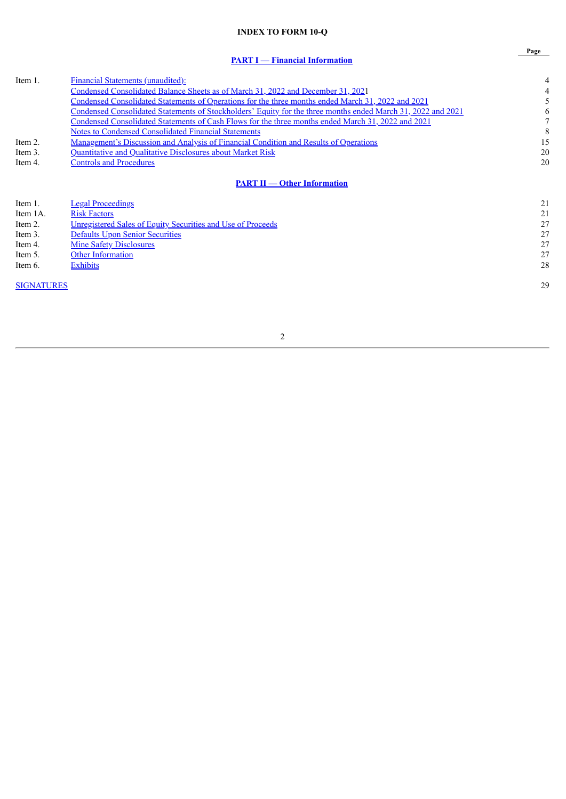# **INDEX TO FORM 10-Q**

# **PART I — Financial [Information](#page-3-0)**

**Page**

| Item 1.           | Financial Statements (unaudited):                                                                            | $\overline{4}$ |
|-------------------|--------------------------------------------------------------------------------------------------------------|----------------|
|                   | <u>Condensed Consolidated Balance Sheets as of March 31, 2022 and December 31, 2021</u>                      |                |
|                   | Condensed Consolidated Statements of Operations for the three months ended March 31, 2022 and 2021           |                |
|                   | Condensed Consolidated Statements of Stockholders' Equity for the three months ended March 31, 2022 and 2021 | <sub>0</sub>   |
|                   | Condensed Consolidated Statements of Cash Flows for the three months ended March 31, 2022 and 2021           |                |
|                   | <b>Notes to Condensed Consolidated Financial Statements</b>                                                  | 8              |
| Item 2.           | Management's Discussion and Analysis of Financial Condition and Results of Operations                        | 15             |
| Item 3.           | Quantitative and Qualitative Disclosures about Market Risk                                                   | 20             |
| Item 4.           | <b>Controls and Procedures</b>                                                                               | 20             |
|                   | <b>PART II — Other Information</b>                                                                           |                |
| Item 1.           | <b>Legal Proceedings</b>                                                                                     | 21             |
| Item 1A.          | <b>Risk Factors</b>                                                                                          | 21             |
| Item 2.           | <b>Unregistered Sales of Equity Securities and Use of Proceeds</b>                                           | 27             |
| Item 3.           | <b>Defaults Upon Senior Securities</b>                                                                       | 27             |
| Item 4.           | <b>Mine Safety Disclosures</b>                                                                               | 27             |
| Item 5.           | <b>Other Information</b>                                                                                     | 27             |
| Item 6.           | <b>Exhibits</b>                                                                                              | 28             |
| <b>SIGNATURES</b> |                                                                                                              | 29             |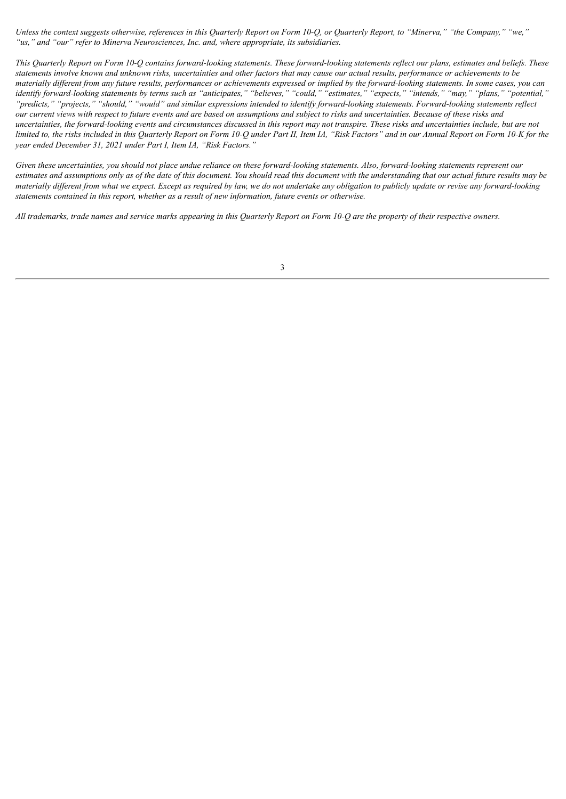Unless the context suggests otherwise, references in this Quarterly Report on Form 10-Q, or Quarterly Report, to "Minerva," "the Company," "we," *"us," and "our" refer to Minerva Neurosciences, Inc. and, where appropriate, its subsidiaries.*

This Quarterly Report on Form 10-Q contains forward-looking statements. These forward-looking statements reflect our plans, estimates and beliefs. These statements involve known and unknown risks, uncertainties and other factors that may cause our actual results, performance or achievements to be materially different from any future results, performances or achievements expressed or implied by the forward-looking statements. In some cases, you can identify forward-looking statements by terms such as "anticipates," "believes," "could," "estimates," "expects," "intends," "may," "plans," "potential," "predicts," "projects," "should," "would" and similar expressions intended to identify forward-looking statements. Forward-looking statements reflect our current views with respect to future events and are based on assumptions and subject to risks and uncertainties. Because of these risks and uncertainties, the forward-looking events and circumstances discussed in this report may not transpire. These risks and uncertainties include, but are not limited to, the risks included in this Quarterly Report on Form 10-Q under Part II, Item IA, "Risk Factors" and in our Annual Report on Form 10-K for the *year ended December 31, 2021 under Part I, Item IA, "Risk Factors."*

Given these uncertainties, you should not place undue reliance on these forward-looking statements. Also, forward-looking statements represent our estimates and assumptions only as of the date of this document. You should read this document with the understanding that our actual future results may be materially different from what we expect. Except as required by law, we do not undertake any obligation to publicly update or revise any forward-looking *statements contained in this report, whether as a result of new information, future events or otherwise.*

All trademarks, trade names and service marks appearing in this Quarterly Report on Form 10-Q are the property of their respective owners.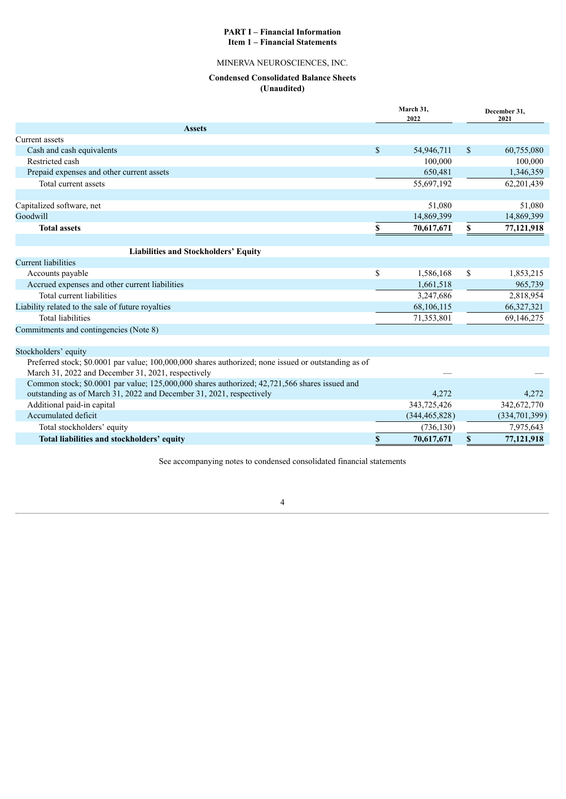#### **PART I – Financial Information Item 1 – Financial Statements**

# MINERVA NEUROSCIENCES, INC.

### **Condensed Consolidated Balance Sheets (Unaudited)**

<span id="page-3-2"></span><span id="page-3-1"></span><span id="page-3-0"></span>

|                                                                                                                                                            |              | March 31,<br>2022 |    | December 31,<br>2021 |
|------------------------------------------------------------------------------------------------------------------------------------------------------------|--------------|-------------------|----|----------------------|
| <b>Assets</b>                                                                                                                                              |              |                   |    |                      |
| Current assets                                                                                                                                             |              |                   |    |                      |
| Cash and cash equivalents                                                                                                                                  | $\mathbb{S}$ | 54,946,711        | \$ | 60,755,080           |
| Restricted cash                                                                                                                                            |              | 100,000           |    | 100,000              |
| Prepaid expenses and other current assets                                                                                                                  |              | 650,481           |    | 1,346,359            |
| Total current assets                                                                                                                                       |              | 55,697,192        |    | 62,201,439           |
|                                                                                                                                                            |              |                   |    |                      |
| Capitalized software, net                                                                                                                                  |              | 51,080            |    | 51,080               |
| Goodwill                                                                                                                                                   |              | 14,869,399        |    | 14,869,399           |
| <b>Total assets</b>                                                                                                                                        | S            | 70,617,671        | \$ | 77,121,918           |
|                                                                                                                                                            |              |                   |    |                      |
| <b>Liabilities and Stockholders' Equity</b>                                                                                                                |              |                   |    |                      |
| <b>Current liabilities</b>                                                                                                                                 |              |                   |    |                      |
| Accounts payable                                                                                                                                           | \$           | 1,586,168         | S. | 1,853,215            |
| Accrued expenses and other current liabilities                                                                                                             |              | 1,661,518         |    | 965,739              |
| Total current liabilities                                                                                                                                  |              | 3,247,686         |    | 2,818,954            |
| Liability related to the sale of future royalties                                                                                                          |              | 68,106,115        |    | 66,327,321           |
| <b>Total liabilities</b>                                                                                                                                   |              | 71,353,801        |    | 69,146,275           |
| Commitments and contingencies (Note 8)                                                                                                                     |              |                   |    |                      |
|                                                                                                                                                            |              |                   |    |                      |
| Stockholders' equity                                                                                                                                       |              |                   |    |                      |
| Preferred stock; \$0.0001 par value; 100,000,000 shares authorized; none issued or outstanding as of<br>March 31, 2022 and December 31, 2021, respectively |              |                   |    |                      |
| Common stock; \$0.0001 par value; 125,000,000 shares authorized; 42,721,566 shares issued and                                                              |              |                   |    |                      |
| outstanding as of March 31, 2022 and December 31, 2021, respectively                                                                                       |              | 4,272             |    | 4,272                |
| Additional paid-in capital                                                                                                                                 |              | 343,725,426       |    | 342,672,770          |
| Accumulated deficit                                                                                                                                        |              | (344, 465, 828)   |    | (334, 701, 399)      |
| Total stockholders' equity                                                                                                                                 |              | (736, 130)        |    | 7,975,643            |
| Total liabilities and stockholders' equity                                                                                                                 | \$           | 70,617,671        | \$ | 77,121,918           |

See accompanying notes to condensed consolidated financial statements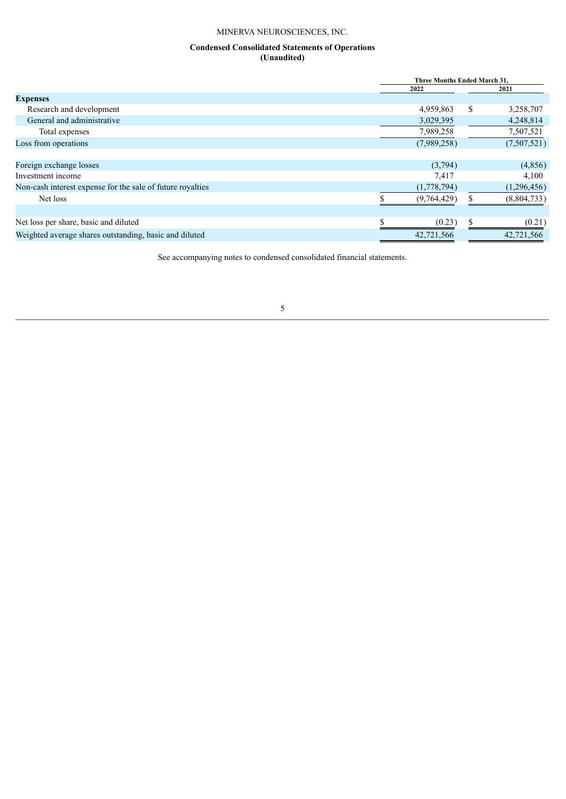# MINERVA NEUROSCIENCES, INC.

#### **Condensed Consolidated Statements of Operations (Unaudited)**

<span id="page-4-0"></span>

|                                                            |             | Three Months Ended March 31. |
|------------------------------------------------------------|-------------|------------------------------|
|                                                            | 2022        | 2021                         |
| <b>Expenses</b>                                            |             |                              |
| Research and development                                   | 4,959,863   | \$<br>3,258,707              |
| General and administrative                                 | 3,029,395   | 4,248,814                    |
| Total expenses                                             | 7,989,258   | 7,507,521                    |
| Loss from operations                                       | (7,989,258) | (7,507,521)                  |
|                                                            |             |                              |
| Foreign exchange losses                                    | (3,794)     | (4,856)                      |
| Investment income                                          | 7,417       | 4,100                        |
| Non-cash interest expense for the sale of future royalties | (1,778,794) | (1,296,456)                  |
| Net loss                                                   | (9,764,429) | (8,804,733)                  |
|                                                            |             |                              |
| Net loss per share, basic and diluted                      | (0.23)      | (0.21)                       |
| Weighted average shares outstanding, basic and diluted     | 42,721,566  | 42,721,566                   |

See accompanying notes to condensed consolidated financial statements.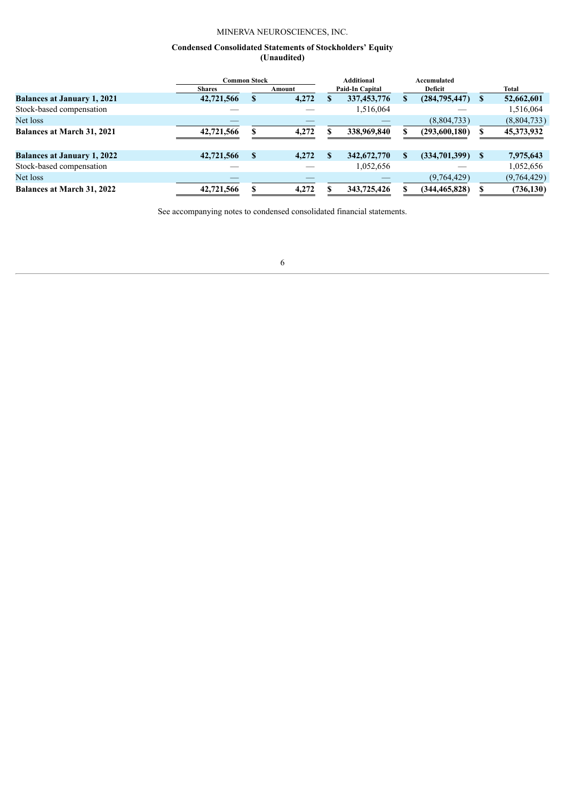# MINERVA NEUROSCIENCES, INC.

#### **Condensed Consolidated Statements of Stockholders' Equity (Unaudited)**

<span id="page-5-0"></span>

|                                    | <b>Common Stock</b> |               | <b>Additional</b> |                        | Accumulated   |         |                 |          |             |
|------------------------------------|---------------------|---------------|-------------------|------------------------|---------------|---------|-----------------|----------|-------------|
|                                    | <b>Shares</b>       | Amount        |                   | <b>Paid-In Capital</b> |               | Deficit |                 |          | Total       |
| <b>Balances at January 1, 2021</b> | 42,721,566          | S             | 4,272             |                        | 337, 453, 776 |         | (284,795,447)   |          | 52,662,601  |
| Stock-based compensation           |                     |               |                   |                        | 1,516,064     |         |                 |          | 1,516,064   |
| Net loss                           |                     |               |                   |                        |               |         | (8,804,733)     |          | (8,804,733) |
| <b>Balances at March 31, 2021</b>  | 42,721,566          |               | 4.272             |                        | 338,969,840   |         | (293,600,180)   |          | 45,373,932  |
| <b>Balances at January 1, 2022</b> | 42,721,566          | <sup>\$</sup> | 4.272             | S                      | 342,672,770   | S       | (334,701,399)   | <b>S</b> | 7,975,643   |
| Stock-based compensation           |                     |               |                   |                        | 1,052,656     |         |                 |          | 1,052,656   |
| Net loss                           |                     |               |                   |                        |               |         | (9,764,429)     |          | (9,764,429) |
| <b>Balances at March 31, 2022</b>  | 42,721,566          |               | 4,272             |                        | 343,725,426   |         | (344, 465, 828) |          | (736, 130)  |

See accompanying notes to condensed consolidated financial statements.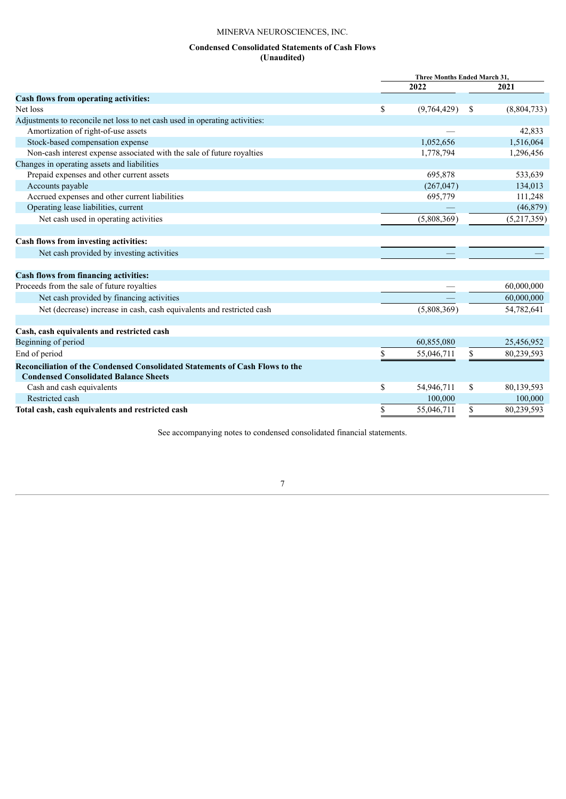# MINERVA NEUROSCIENCES, INC.

# **Condensed Consolidated Statements of Cash Flows**

**(Unaudited)**

<span id="page-6-0"></span>

|                                                                                                                              | Three Months Ended March 31, |             |    |             |
|------------------------------------------------------------------------------------------------------------------------------|------------------------------|-------------|----|-------------|
|                                                                                                                              |                              | 2022        |    | 2021        |
| Cash flows from operating activities:                                                                                        |                              |             |    |             |
| Net loss                                                                                                                     | \$                           | (9,764,429) | S  | (8,804,733) |
| Adjustments to reconcile net loss to net cash used in operating activities:                                                  |                              |             |    |             |
| Amortization of right-of-use assets                                                                                          |                              |             |    | 42,833      |
| Stock-based compensation expense                                                                                             |                              | 1,052,656   |    | 1,516,064   |
| Non-cash interest expense associated with the sale of future royalties                                                       |                              | 1,778,794   |    | 1,296,456   |
| Changes in operating assets and liabilities                                                                                  |                              |             |    |             |
| Prepaid expenses and other current assets                                                                                    |                              | 695,878     |    | 533,639     |
| Accounts payable                                                                                                             |                              | (267, 047)  |    | 134,013     |
| Accrued expenses and other current liabilities                                                                               |                              | 695,779     |    | 111,248     |
| Operating lease liabilities, current                                                                                         |                              |             |    | (46, 879)   |
| Net cash used in operating activities                                                                                        |                              | (5,808,369) |    | (5,217,359) |
| Cash flows from investing activities:                                                                                        |                              |             |    |             |
| Net cash provided by investing activities                                                                                    |                              |             |    |             |
| <b>Cash flows from financing activities:</b>                                                                                 |                              |             |    |             |
| Proceeds from the sale of future royalties                                                                                   |                              |             |    | 60,000,000  |
| Net cash provided by financing activities                                                                                    |                              |             |    | 60,000,000  |
| Net (decrease) increase in cash, cash equivalents and restricted cash                                                        |                              | (5,808,369) |    | 54,782,641  |
| Cash, cash equivalents and restricted cash                                                                                   |                              |             |    |             |
| Beginning of period                                                                                                          |                              | 60,855,080  |    | 25,456,952  |
| End of period                                                                                                                | \$                           | 55,046,711  | \$ | 80,239,593  |
| Reconciliation of the Condensed Consolidated Statements of Cash Flows to the<br><b>Condensed Consolidated Balance Sheets</b> |                              |             |    |             |
| Cash and cash equivalents                                                                                                    | \$                           | 54,946,711  | \$ | 80,139,593  |
| Restricted cash                                                                                                              |                              | 100,000     |    | 100,000     |
| Total cash, cash equivalents and restricted cash                                                                             | \$                           | 55,046,711  | \$ | 80,239,593  |
|                                                                                                                              |                              |             |    |             |

See accompanying notes to condensed consolidated financial statements.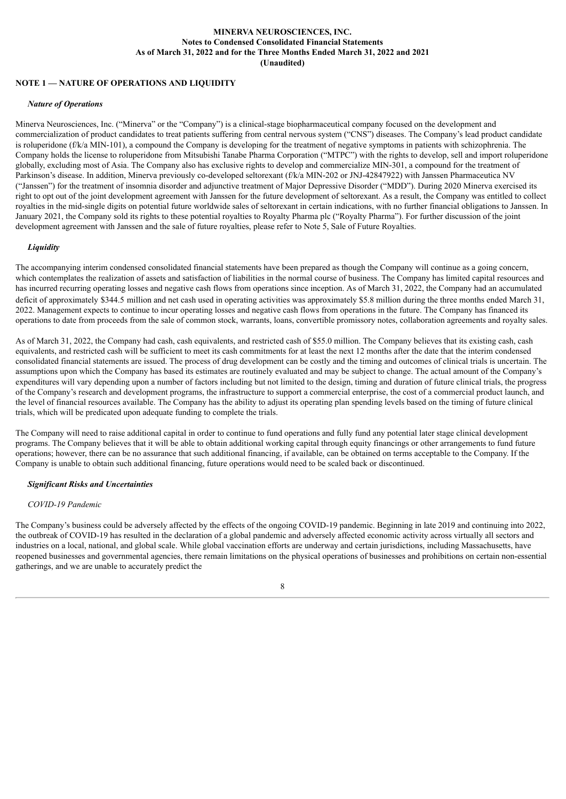#### **MINERVA NEUROSCIENCES, INC. Notes to Condensed Consolidated Financial Statements As of March 31, 2022 and for the Three Months Ended March 31, 2022 and 2021 (Unaudited)**

#### <span id="page-7-0"></span>**NOTE 1 — NATURE OF OPERATIONS AND LIQUIDITY**

#### *Nature of Operations*

Minerva Neurosciences, Inc. ("Minerva" or the "Company") is a clinical-stage biopharmaceutical company focused on the development and commercialization of product candidates to treat patients suffering from central nervous system ("CNS") diseases. The Company's lead product candidate is roluperidone (f/k/a MIN-101), a compound the Company is developing for the treatment of negative symptoms in patients with schizophrenia. The Company holds the license to roluperidone from Mitsubishi Tanabe Pharma Corporation ("MTPC") with the rights to develop, sell and import roluperidone globally, excluding most of Asia. The Company also has exclusive rights to develop and commercialize MIN-301, a compound for the treatment of Parkinson's disease. In addition, Minerva previously co-developed seltorexant (f/k/a MIN-202 or JNJ-42847922) with Janssen Pharmaceutica NV ("Janssen") for the treatment of insomnia disorder and adjunctive treatment of Major Depressive Disorder ("MDD"). During 2020 Minerva exercised its right to opt out of the joint development agreement with Janssen for the future development of seltorexant. As a result, the Company was entitled to collect royalties in the mid-single digits on potential future worldwide sales of seltorexant in certain indications, with no further financial obligations to Janssen. In January 2021, the Company sold its rights to these potential royalties to Royalty Pharma plc ("Royalty Pharma"). For further discussion of the joint development agreement with Janssen and the sale of future royalties, please refer to Note 5, Sale of Future Royalties.

#### *Liquidity*

The accompanying interim condensed consolidated financial statements have been prepared as though the Company will continue as a going concern, which contemplates the realization of assets and satisfaction of liabilities in the normal course of business. The Company has limited capital resources and has incurred recurring operating losses and negative cash flows from operations since inception. As of March 31, 2022, the Company had an accumulated deficit of approximately \$344.5 million and net cash used in operating activities was approximately \$5.8 million during the three months ended March 31, 2022. Management expects to continue to incur operating losses and negative cash flows from operations in the future. The Company has financed its operations to date from proceeds from the sale of common stock, warrants, loans, convertible promissory notes, collaboration agreements and royalty sales.

As of March 31, 2022, the Company had cash, cash equivalents, and restricted cash of \$55.0 million. The Company believes that its existing cash, cash equivalents, and restricted cash will be sufficient to meet its cash commitments for at least the next 12 months after the date that the interim condensed consolidated financial statements are issued. The process of drug development can be costly and the timing and outcomes of clinical trials is uncertain. The assumptions upon which the Company has based its estimates are routinely evaluated and may be subject to change. The actual amount of the Company's expenditures will vary depending upon a number of factors including but not limited to the design, timing and duration of future clinical trials, the progress of the Company's research and development programs, the infrastructure to support a commercial enterprise, the cost of a commercial product launch, and the level of financial resources available. The Company has the ability to adjust its operating plan spending levels based on the timing of future clinical trials, which will be predicated upon adequate funding to complete the trials.

The Company will need to raise additional capital in order to continue to fund operations and fully fund any potential later stage clinical development programs. The Company believes that it will be able to obtain additional working capital through equity financings or other arrangements to fund future operations; however, there can be no assurance that such additional financing, if available, can be obtained on terms acceptable to the Company. If the Company is unable to obtain such additional financing, future operations would need to be scaled back or discontinued.

#### *Significant Risks and Uncertainties*

#### *COVID-19 Pandemic*

The Company's business could be adversely affected by the effects of the ongoing COVID-19 pandemic. Beginning in late 2019 and continuing into 2022, the outbreak of COVID-19 has resulted in the declaration of a global pandemic and adversely affected economic activity across virtually all sectors and industries on a local, national, and global scale. While global vaccination efforts are underway and certain jurisdictions, including Massachusetts, have reopened businesses and governmental agencies, there remain limitations on the physical operations of businesses and prohibitions on certain non-essential gatherings, and we are unable to accurately predict the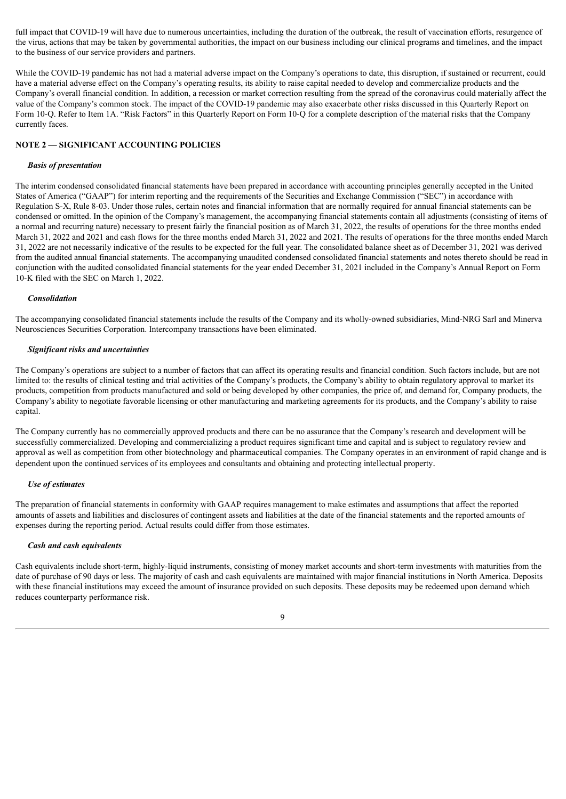full impact that COVID-19 will have due to numerous uncertainties, including the duration of the outbreak, the result of vaccination efforts, resurgence of the virus, actions that may be taken by governmental authorities, the impact on our business including our clinical programs and timelines, and the impact to the business of our service providers and partners.

While the COVID-19 pandemic has not had a material adverse impact on the Company's operations to date, this disruption, if sustained or recurrent, could have a material adverse effect on the Company's operating results, its ability to raise capital needed to develop and commercialize products and the Company's overall financial condition. In addition, a recession or market correction resulting from the spread of the coronavirus could materially affect the value of the Company's common stock. The impact of the COVID-19 pandemic may also exacerbate other risks discussed in this Quarterly Report on Form 10-Q. Refer to Item 1A. "Risk Factors" in this Quarterly Report on Form 10-Q for a complete description of the material risks that the Company currently faces.

## **NOTE 2 — SIGNIFICANT ACCOUNTING POLICIES**

#### *Basis of presentation*

The interim condensed consolidated financial statements have been prepared in accordance with accounting principles generally accepted in the United States of America ("GAAP") for interim reporting and the requirements of the Securities and Exchange Commission ("SEC") in accordance with Regulation S-X, Rule 8-03. Under those rules, certain notes and financial information that are normally required for annual financial statements can be condensed or omitted. In the opinion of the Company's management, the accompanying financial statements contain all adjustments (consisting of items of a normal and recurring nature) necessary to present fairly the financial position as of March 31, 2022, the results of operations for the three months ended March 31, 2022 and 2021 and cash flows for the three months ended March 31, 2022 and 2021. The results of operations for the three months ended March 31, 2022 are not necessarily indicative of the results to be expected for the full year. The consolidated balance sheet as of December 31, 2021 was derived from the audited annual financial statements. The accompanying unaudited condensed consolidated financial statements and notes thereto should be read in conjunction with the audited consolidated financial statements for the year ended December 31, 2021 included in the Company's Annual Report on Form 10-K filed with the SEC on March 1, 2022.

#### *Consolidation*

The accompanying consolidated financial statements include the results of the Company and its wholly-owned subsidiaries, Mind-NRG Sarl and Minerva Neurosciences Securities Corporation. Intercompany transactions have been eliminated.

#### *Significant risks and uncertainties*

The Company's operations are subject to a number of factors that can affect its operating results and financial condition. Such factors include, but are not limited to: the results of clinical testing and trial activities of the Company's products, the Company's ability to obtain regulatory approval to market its products, competition from products manufactured and sold or being developed by other companies, the price of, and demand for, Company products, the Company's ability to negotiate favorable licensing or other manufacturing and marketing agreements for its products, and the Company's ability to raise capital.

The Company currently has no commercially approved products and there can be no assurance that the Company's research and development will be successfully commercialized. Developing and commercializing a product requires significant time and capital and is subject to regulatory review and approval as well as competition from other biotechnology and pharmaceutical companies. The Company operates in an environment of rapid change and is dependent upon the continued services of its employees and consultants and obtaining and protecting intellectual property.

#### *Use of estimates*

The preparation of financial statements in conformity with GAAP requires management to make estimates and assumptions that affect the reported amounts of assets and liabilities and disclosures of contingent assets and liabilities at the date of the financial statements and the reported amounts of expenses during the reporting period. Actual results could differ from those estimates.

#### *Cash and cash equivalents*

Cash equivalents include short-term, highly-liquid instruments, consisting of money market accounts and short-term investments with maturities from the date of purchase of 90 days or less. The majority of cash and cash equivalents are maintained with major financial institutions in North America. Deposits with these financial institutions may exceed the amount of insurance provided on such deposits. These deposits may be redeemed upon demand which reduces counterparty performance risk.

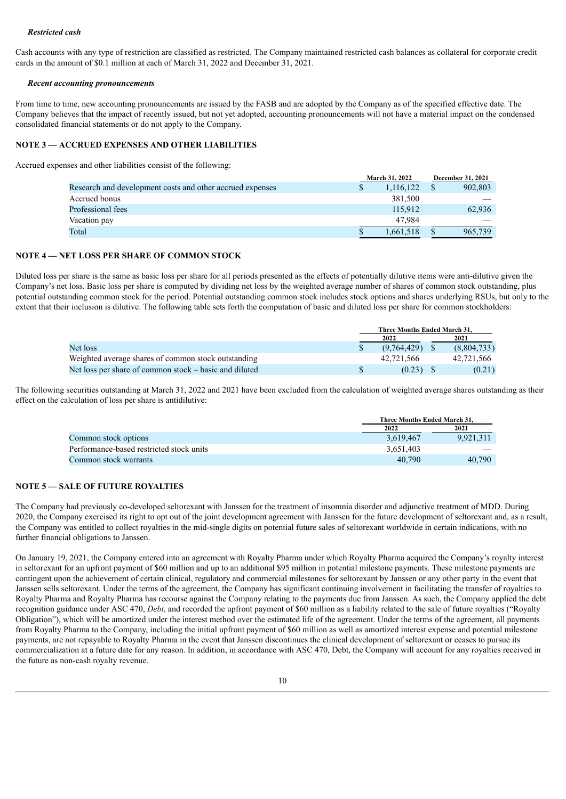#### *Restricted cash*

Cash accounts with any type of restriction are classified as restricted. The Company maintained restricted cash balances as collateral for corporate credit cards in the amount of \$0.1 million at each of March 31, 2022 and December 31, 2021.

#### *Recent accounting pronouncements*

From time to time, new accounting pronouncements are issued by the FASB and are adopted by the Company as of the specified effective date. The Company believes that the impact of recently issued, but not yet adopted, accounting pronouncements will not have a material impact on the condensed consolidated financial statements or do not apply to the Company.

#### **NOTE 3 — ACCRUED EXPENSES AND OTHER LIABILITIES**

Accrued expenses and other liabilities consist of the following:

|                                                           | <b>March 31, 2022</b> |           |  | December 31, 2021 |
|-----------------------------------------------------------|-----------------------|-----------|--|-------------------|
| Research and development costs and other accrued expenses |                       | 1,116,122 |  | 902,803           |
| Accrued bonus                                             |                       | 381.500   |  |                   |
| Professional fees                                         |                       | 115.912   |  | 62.936            |
| Vacation pay                                              |                       | 47.984    |  |                   |
| Total                                                     |                       | 1,661,518 |  | 965.739           |

#### **NOTE 4 — NET LOSS PER SHARE OF COMMON STOCK**

Diluted loss per share is the same as basic loss per share for all periods presented as the effects of potentially dilutive items were anti-dilutive given the Company's net loss. Basic loss per share is computed by dividing net loss by the weighted average number of shares of common stock outstanding, plus potential outstanding common stock for the period. Potential outstanding common stock includes stock options and shares underlying RSUs, but only to the extent that their inclusion is dilutive. The following table sets forth the computation of basic and diluted loss per share for common stockholders:

|                                                        | Three Months Ended March 31. |  |             |  |  |
|--------------------------------------------------------|------------------------------|--|-------------|--|--|
|                                                        | 2022                         |  | 2021        |  |  |
| Net loss                                               | $(9.764.429)$ \$             |  | (8.804.733) |  |  |
| Weighted average shares of common stock outstanding    | 42.721.566                   |  | 42.721.566  |  |  |
| Net loss per share of common stock – basic and diluted | (0.23)                       |  | (0.21)      |  |  |

The following securities outstanding at March 31, 2022 and 2021 have been excluded from the calculation of weighted average shares outstanding as their effect on the calculation of loss per share is antidilutive:

|                                          | Three Months Ended March 31. |           |
|------------------------------------------|------------------------------|-----------|
|                                          | 2022                         | 2021      |
| Common stock options                     | 3,619,467                    | 9.921.311 |
| Performance-based restricted stock units | 3.651.403                    |           |
| Common stock warrants                    | 40.790                       | 40.790    |

#### **NOTE 5 — SALE OF FUTURE ROYALTIES**

The Company had previously co-developed seltorexant with Janssen for the treatment of insomnia disorder and adjunctive treatment of MDD. During 2020, the Company exercised its right to opt out of the joint development agreement with Janssen for the future development of seltorexant and, as a result, the Company was entitled to collect royalties in the mid-single digits on potential future sales of seltorexant worldwide in certain indications, with no further financial obligations to Janssen.

On January 19, 2021, the Company entered into an agreement with Royalty Pharma under which Royalty Pharma acquired the Company's royalty interest in seltorexant for an upfront payment of \$60 million and up to an additional \$95 million in potential milestone payments. These milestone payments are contingent upon the achievement of certain clinical, regulatory and commercial milestones for seltorexant by Janssen or any other party in the event that Janssen sells seltorexant. Under the terms of the agreement, the Company has significant continuing involvement in facilitating the transfer of royalties to Royalty Pharma and Royalty Pharma has recourse against the Company relating to the payments due from Janssen. As such, the Company applied the debt recognition guidance under ASC 470, *Debt*, and recorded the upfront payment of \$60 million as a liability related to the sale of future royalties ("Royalty Obligation"), which will be amortized under the interest method over the estimated life of the agreement. Under the terms of the agreement, all payments from Royalty Pharma to the Company, including the initial upfront payment of \$60 million as well as amortized interest expense and potential milestone payments, are not repayable to Royalty Pharma in the event that Janssen discontinues the clinical development of seltorexant or ceases to pursue its commercialization at a future date for any reason. In addition, in accordance with ASC 470, Debt, the Company will account for any royalties received in the future as non-cash royalty revenue.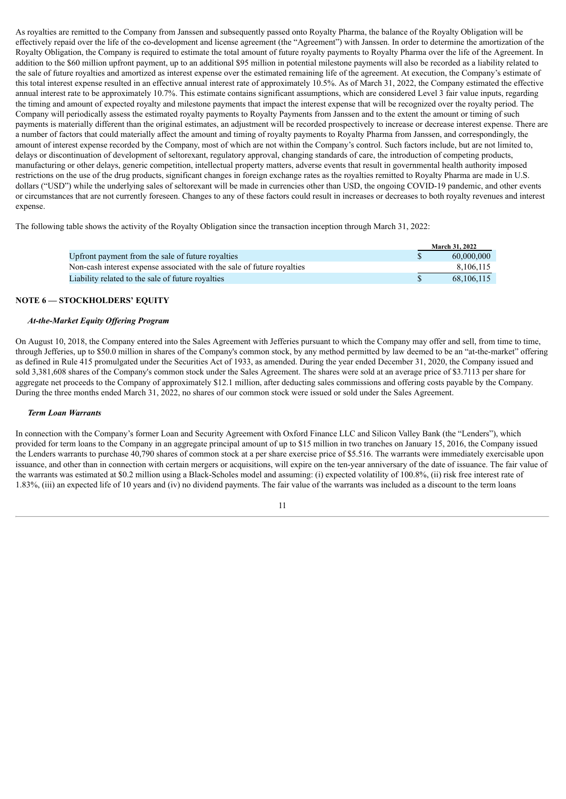As royalties are remitted to the Company from Janssen and subsequently passed onto Royalty Pharma, the balance of the Royalty Obligation will be effectively repaid over the life of the co-development and license agreement (the "Agreement") with Janssen. In order to determine the amortization of the Royalty Obligation, the Company is required to estimate the total amount of future royalty payments to Royalty Pharma over the life of the Agreement. In addition to the \$60 million upfront payment, up to an additional \$95 million in potential milestone payments will also be recorded as a liability related to the sale of future royalties and amortized as interest expense over the estimated remaining life of the agreement. At execution, the Company's estimate of this total interest expense resulted in an effective annual interest rate of approximately 10.5%. As of March 31, 2022, the Company estimated the effective annual interest rate to be approximately 10.7%. This estimate contains significant assumptions, which are considered Level 3 fair value inputs, regarding the timing and amount of expected royalty and milestone payments that impact the interest expense that will be recognized over the royalty period. The Company will periodically assess the estimated royalty payments to Royalty Payments from Janssen and to the extent the amount or timing of such payments is materially different than the original estimates, an adjustment will be recorded prospectively to increase or decrease interest expense. There are a number of factors that could materially affect the amount and timing of royalty payments to Royalty Pharma from Janssen, and correspondingly, the amount of interest expense recorded by the Company, most of which are not within the Company's control. Such factors include, but are not limited to, delays or discontinuation of development of seltorexant, regulatory approval, changing standards of care, the introduction of competing products, manufacturing or other delays, generic competition, intellectual property matters, adverse events that result in governmental health authority imposed restrictions on the use of the drug products, significant changes in foreign exchange rates as the royalties remitted to Royalty Pharma are made in U.S. dollars ("USD") while the underlying sales of seltorexant will be made in currencies other than USD, the ongoing COVID-19 pandemic, and other events or circumstances that are not currently foreseen. Changes to any of these factors could result in increases or decreases to both royalty revenues and interest expense.

The following table shows the activity of the Royalty Obligation since the transaction inception through March 31, 2022:

|                                                                        | <b>March 31, 2022</b> |
|------------------------------------------------------------------------|-----------------------|
| Upfront payment from the sale of future royalties                      | 60,000,000            |
| Non-cash interest expense associated with the sale of future royalties | 8.106.115             |
| Liability related to the sale of future royalties                      | 68.106.115            |

#### **NOTE 6 — STOCKHOLDERS' EQUITY**

#### *At-the-Market Equity Of ering Program*

On August 10, 2018, the Company entered into the Sales Agreement with Jefferies pursuant to which the Company may offer and sell, from time to time, through Jefferies, up to \$50.0 million in shares of the Company's common stock, by any method permitted by law deemed to be an "at-the-market" offering as defined in Rule 415 promulgated under the Securities Act of 1933, as amended. During the year ended December 31, 2020, the Company issued and sold 3,381,608 shares of the Company's common stock under the Sales Agreement. The shares were sold at an average price of \$3.7113 per share for aggregate net proceeds to the Company of approximately \$12.1 million, after deducting sales commissions and offering costs payable by the Company. During the three months ended March 31, 2022, no shares of our common stock were issued or sold under the Sales Agreement.

#### *Term Loan Warrants*

In connection with the Company's former Loan and Security Agreement with Oxford Finance LLC and Silicon Valley Bank (the "Lenders"), which provided for term loans to the Company in an aggregate principal amount of up to \$15 million in two tranches on January 15, 2016, the Company issued the Lenders warrants to purchase 40,790 shares of common stock at a per share exercise price of \$5.516. The warrants were immediately exercisable upon issuance, and other than in connection with certain mergers or acquisitions, will expire on the ten-year anniversary of the date of issuance. The fair value of the warrants was estimated at \$0.2 million using a Black-Scholes model and assuming: (i) expected volatility of 100.8%, (ii) risk free interest rate of 1.83%, (iii) an expected life of 10 years and (iv) no dividend payments. The fair value of the warrants was included as a discount to the term loans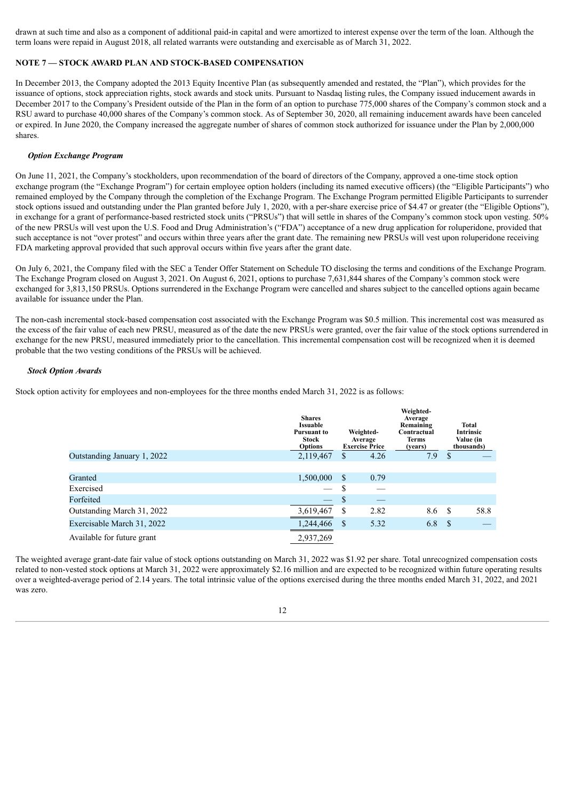drawn at such time and also as a component of additional paid-in capital and were amortized to interest expense over the term of the loan. Although the term loans were repaid in August 2018, all related warrants were outstanding and exercisable as of March 31, 2022.

#### **NOTE 7 — STOCK AWARD PLAN AND STOCK-BASED COMPENSATION**

In December 2013, the Company adopted the 2013 Equity Incentive Plan (as subsequently amended and restated, the "Plan"), which provides for the issuance of options, stock appreciation rights, stock awards and stock units. Pursuant to Nasdaq listing rules, the Company issued inducement awards in December 2017 to the Company's President outside of the Plan in the form of an option to purchase 775,000 shares of the Company's common stock and a RSU award to purchase 40,000 shares of the Company's common stock. As of September 30, 2020, all remaining inducement awards have been canceled or expired. In June 2020, the Company increased the aggregate number of shares of common stock authorized for issuance under the Plan by 2,000,000 shares.

#### *Option Exchange Program*

On June 11, 2021, the Company's stockholders, upon recommendation of the board of directors of the Company, approved a one-time stock option exchange program (the "Exchange Program") for certain employee option holders (including its named executive officers) (the "Eligible Participants") who remained employed by the Company through the completion of the Exchange Program. The Exchange Program permitted Eligible Participants to surrender stock options issued and outstanding under the Plan granted before July 1, 2020, with a per-share exercise price of \$4.47 or greater (the "Eligible Options"), in exchange for a grant of performance-based restricted stock units ("PRSUs") that will settle in shares of the Company's common stock upon vesting. 50% of the new PRSUs will vest upon the U.S. Food and Drug Administration's ("FDA") acceptance of a new drug application for roluperidone, provided that such acceptance is not "over protest" and occurs within three years after the grant date. The remaining new PRSUs will vest upon roluperidone receiving FDA marketing approval provided that such approval occurs within five years after the grant date.

On July 6, 2021, the Company filed with the SEC a Tender Offer Statement on Schedule TO disclosing the terms and conditions of the Exchange Program. The Exchange Program closed on August 3, 2021. On August 6, 2021, options to purchase 7,631,844 shares of the Company's common stock were exchanged for 3,813,150 PRSUs. Options surrendered in the Exchange Program were cancelled and shares subject to the cancelled options again became available for issuance under the Plan.

The non-cash incremental stock-based compensation cost associated with the Exchange Program was \$0.5 million. This incremental cost was measured as the excess of the fair value of each new PRSU, measured as of the date the new PRSUs were granted, over the fair value of the stock options surrendered in exchange for the new PRSU, measured immediately prior to the cancellation. This incremental compensation cost will be recognized when it is deemed probable that the two vesting conditions of the PRSUs will be achieved.

#### *Stock Option Awards*

Stock option activity for employees and non-employees for the three months ended March 31, 2022 is as follows:

|                             | <b>Shares</b><br>Issuable<br><b>Pursuant to</b><br><b>Stock</b><br><b>Options</b> | Weighted-<br>Average<br><b>Exercise Price</b> | Weighted-<br>Average<br>Remaining<br>Contractual<br>Terms<br>(vears) |      | <b>Total</b><br><b>Intrinsic</b><br>Value (in<br>thousands) |
|-----------------------------|-----------------------------------------------------------------------------------|-----------------------------------------------|----------------------------------------------------------------------|------|-------------------------------------------------------------|
| Outstanding January 1, 2022 | 2,119,467                                                                         | \$<br>4.26                                    | 7.9                                                                  | \$   |                                                             |
|                             |                                                                                   |                                               |                                                                      |      |                                                             |
| Granted                     | 1,500,000                                                                         | \$<br>0.79                                    |                                                                      |      |                                                             |
| Exercised                   |                                                                                   | \$                                            |                                                                      |      |                                                             |
| Forfeited                   |                                                                                   | \$                                            |                                                                      |      |                                                             |
| Outstanding March 31, 2022  | 3,619,467                                                                         | \$<br>2.82                                    | 8.6                                                                  | - \$ | 58.8                                                        |
| Exercisable March 31, 2022  | .244.466                                                                          | \$<br>5.32                                    | 6.8                                                                  | - \$ |                                                             |
| Available for future grant  | 2,937,269                                                                         |                                               |                                                                      |      |                                                             |

The weighted average grant-date fair value of stock options outstanding on March 31, 2022 was \$1.92 per share. Total unrecognized compensation costs related to non-vested stock options at March 31, 2022 were approximately \$2.16 million and are expected to be recognized within future operating results over a weighted-average period of 2.14 years. The total intrinsic value of the options exercised during the three months ended March 31, 2022, and 2021 was zero.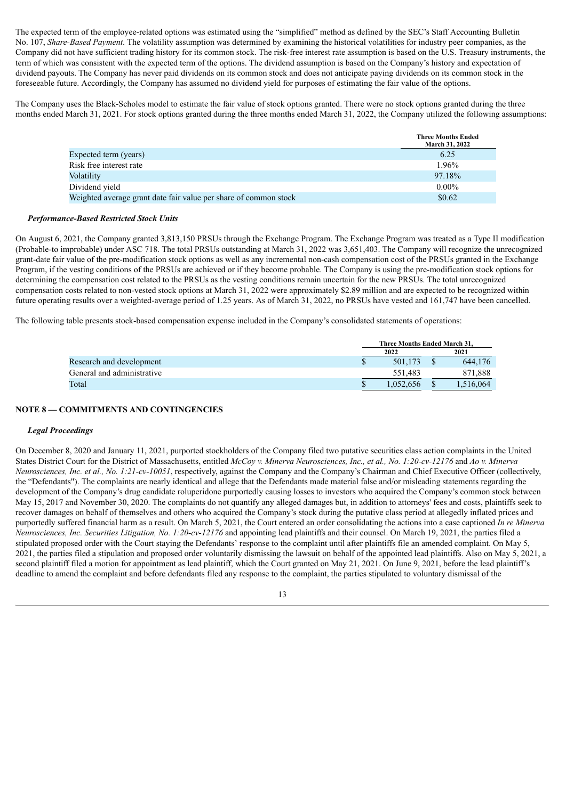The expected term of the employee-related options was estimated using the "simplified" method as defined by the SEC's Staff Accounting Bulletin No. 107, *Share-Based Payment*. The volatility assumption was determined by examining the historical volatilities for industry peer companies, as the Company did not have sufficient trading history for its common stock. The risk-free interest rate assumption is based on the U.S. Treasury instruments, the term of which was consistent with the expected term of the options. The dividend assumption is based on the Company's history and expectation of dividend payouts. The Company has never paid dividends on its common stock and does not anticipate paying dividends on its common stock in the foreseeable future. Accordingly, the Company has assumed no dividend yield for purposes of estimating the fair value of the options.

The Company uses the Black-Scholes model to estimate the fair value of stock options granted. There were no stock options granted during the three months ended March 31, 2021. For stock options granted during the three months ended March 31, 2022, the Company utilized the following assumptions:

|                                                                  | <b>Three Months Ended</b><br><b>March 31, 2022</b> |
|------------------------------------------------------------------|----------------------------------------------------|
| Expected term (years)                                            | 6.25                                               |
| Risk free interest rate                                          | 1.96%                                              |
| Volatility                                                       | 97.18%                                             |
| Dividend vield                                                   | $0.00\%$                                           |
| Weighted average grant date fair value per share of common stock | \$0.62                                             |

#### *Performance-Based Restricted Stock Units*

On August 6, 2021, the Company granted 3,813,150 PRSUs through the Exchange Program. The Exchange Program was treated as a Type II modification (Probable-to improbable) under ASC 718. The total PRSUs outstanding at March 31, 2022 was 3,651,403. The Company will recognize the unrecognized grant-date fair value of the pre-modification stock options as well as any incremental non-cash compensation cost of the PRSUs granted in the Exchange Program, if the vesting conditions of the PRSUs are achieved or if they become probable. The Company is using the pre-modification stock options for determining the compensation cost related to the PRSUs as the vesting conditions remain uncertain for the new PRSUs. The total unrecognized compensation costs related to non-vested stock options at March 31, 2022 were approximately \$2.89 million and are expected to be recognized within future operating results over a weighted-average period of 1.25 years. As of March 31, 2022, no PRSUs have vested and 161,747 have been cancelled.

The following table presents stock-based compensation expense included in the Company's consolidated statements of operations:

|                            | Three Months Ended March 31. |  |          |
|----------------------------|------------------------------|--|----------|
|                            | 2022                         |  | 2021     |
| Research and development   | 501.173                      |  | 644.176  |
| General and administrative | 551.483                      |  | 871,888  |
| Total                      | .052.656                     |  | .516.064 |

#### **NOTE 8 — COMMITMENTS AND CONTINGENCIES**

#### *Legal Proceedings*

On December 8, 2020 and January 11, 2021, purported stockholders of the Company filed two putative securities class action complaints in the United States District Court for the District of Massachusetts, entitled McCoy v. Minerva Neurosciences, Inc., et al., No. 1:20-cv-12176 and Ao v. Minerva *Neurosciences, Inc. et al., No. 1:21-cv-10051*, respectively, against the Company and the Company's Chairman and Chief Executive Officer (collectively, the "Defendants"). The complaints are nearly identical and allege that the Defendants made material false and/or misleading statements regarding the development of the Company's drug candidate roluperidone purportedly causing losses to investors who acquired the Company's common stock between May 15, 2017 and November 30, 2020. The complaints do not quantify any alleged damages but, in addition to attorneys' fees and costs, plaintiffs seek to recover damages on behalf of themselves and others who acquired the Company's stock during the putative class period at allegedly inflated prices and purportedly suffered financial harm as a result. On March 5, 2021, the Court entered an order consolidating the actions into a case captioned *In re Minerva Neurosciences, Inc. Securities Litigation, No. 1:20-cv-12176* and appointing lead plaintiffs and their counsel. On March 19, 2021, the parties filed a stipulated proposed order with the Court staying the Defendants' response to the complaint until after plaintiffs file an amended complaint. On May 5, 2021, the parties filed a stipulation and proposed order voluntarily dismissing the lawsuit on behalf of the appointed lead plaintiffs. Also on May 5, 2021, a second plaintiff filed a motion for appointment as lead plaintiff, which the Court granted on May 21, 2021. On June 9, 2021, before the lead plaintiff's deadline to amend the complaint and before defendants filed any response to the complaint, the parties stipulated to voluntary dismissal of the

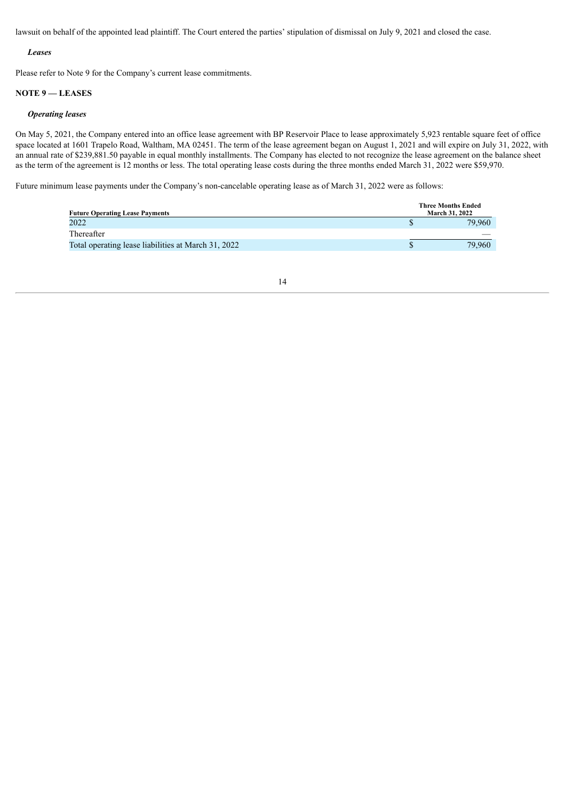lawsuit on behalf of the appointed lead plaintiff. The Court entered the parties' stipulation of dismissal on July 9, 2021 and closed the case.

#### *Leases*

Please refer to Note 9 for the Company's current lease commitments.

#### **NOTE 9 — LEASES**

#### *Operating leases*

On May 5, 2021, the Company entered into an office lease agreement with BP Reservoir Place to lease approximately 5,923 rentable square feet of office space located at 1601 Trapelo Road, Waltham, MA 02451. The term of the lease agreement began on August 1, 2021 and will expire on July 31, 2022, with an annual rate of \$239,881.50 payable in equal monthly installments. The Company has elected to not recognize the lease agreement on the balance sheet as the term of the agreement is 12 months or less. The total operating lease costs during the three months ended March 31, 2022 were \$59,970.

Future minimum lease payments under the Company's non-cancelable operating lease as of March 31, 2022 were as follows:

| <b>Future Operating Lease Payments</b>              | <b>Three Months Ended</b><br><b>March 31, 2022</b> |
|-----------------------------------------------------|----------------------------------------------------|
| 2022                                                | 79.960                                             |
| Thereafter                                          |                                                    |
| Total operating lease liabilities at March 31, 2022 | 79.960                                             |

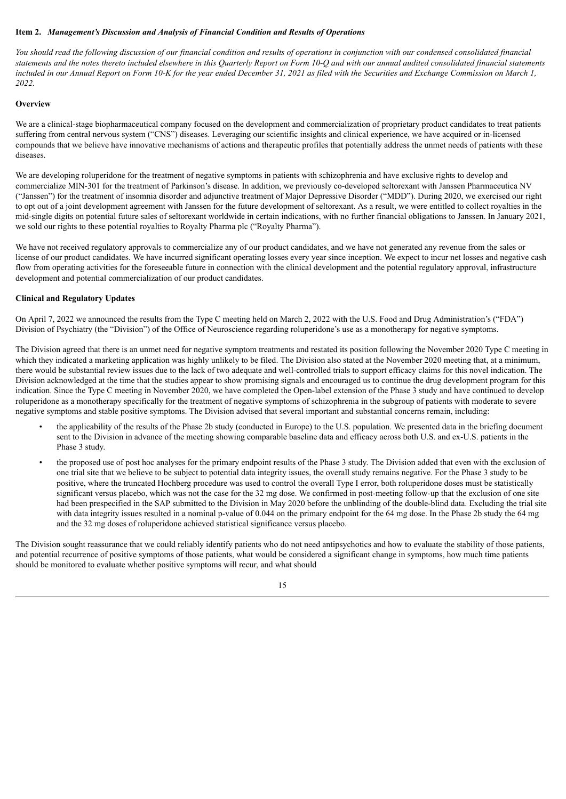#### <span id="page-14-0"></span>**Item 2.** *Management's Discussion and Analysis of Financial Condition and Results of Operations*

You should read the following discussion of our financial condition and results of operations in conjunction with our condensed consolidated financial statements and the notes thereto included elsewhere in this Quarterly Report on Form 10-Q and with our annual audited consolidated financial statements included in our Annual Report on Form 10-K for the year ended December 31, 2021 as filed with the Securities and Exchange Commission on March 1, *2022.*

#### **Overview**

We are a clinical-stage biopharmaceutical company focused on the development and commercialization of proprietary product candidates to treat patients suffering from central nervous system ("CNS") diseases. Leveraging our scientific insights and clinical experience, we have acquired or in-licensed compounds that we believe have innovative mechanisms of actions and therapeutic profiles that potentially address the unmet needs of patients with these diseases.

We are developing roluperidone for the treatment of negative symptoms in patients with schizophrenia and have exclusive rights to develop and commercialize MIN-301 for the treatment of Parkinson's disease. In addition, we previously co-developed seltorexant with Janssen Pharmaceutica NV ("Janssen") for the treatment of insomnia disorder and adjunctive treatment of Major Depressive Disorder ("MDD"). During 2020, we exercised our right to opt out of a joint development agreement with Janssen for the future development of seltorexant. As a result, we were entitled to collect royalties in the mid-single digits on potential future sales of seltorexant worldwide in certain indications, with no further financial obligations to Janssen. In January 2021, we sold our rights to these potential royalties to Royalty Pharma plc ("Royalty Pharma").

We have not received regulatory approvals to commercialize any of our product candidates, and we have not generated any revenue from the sales or license of our product candidates. We have incurred significant operating losses every year since inception. We expect to incur net losses and negative cash flow from operating activities for the foreseeable future in connection with the clinical development and the potential regulatory approval, infrastructure development and potential commercialization of our product candidates.

#### **Clinical and Regulatory Updates**

On April 7, 2022 we announced the results from the Type C meeting held on March 2, 2022 with the U.S. Food and Drug Administration's ("FDA") Division of Psychiatry (the "Division") of the Office of Neuroscience regarding roluperidone's use as a monotherapy for negative symptoms.

The Division agreed that there is an unmet need for negative symptom treatments and restated its position following the November 2020 Type C meeting in which they indicated a marketing application was highly unlikely to be filed. The Division also stated at the November 2020 meeting that, at a minimum. there would be substantial review issues due to the lack of two adequate and well-controlled trials to support efficacy claims for this novel indication. The Division acknowledged at the time that the studies appear to show promising signals and encouraged us to continue the drug development program for this indication. Since the Type C meeting in November 2020, we have completed the Open-label extension of the Phase 3 study and have continued to develop roluperidone as a monotherapy specifically for the treatment of negative symptoms of schizophrenia in the subgroup of patients with moderate to severe negative symptoms and stable positive symptoms. The Division advised that several important and substantial concerns remain, including:

- the applicability of the results of the Phase 2b study (conducted in Europe) to the U.S. population. We presented data in the briefing document sent to the Division in advance of the meeting showing comparable baseline data and efficacy across both U.S. and ex-U.S. patients in the Phase 3 study.
- the proposed use of post hoc analyses for the primary endpoint results of the Phase 3 study. The Division added that even with the exclusion of one trial site that we believe to be subject to potential data integrity issues, the overall study remains negative. For the Phase 3 study to be positive, where the truncated Hochberg procedure was used to control the overall Type I error, both roluperidone doses must be statistically significant versus placebo, which was not the case for the 32 mg dose. We confirmed in post-meeting follow-up that the exclusion of one site had been prespecified in the SAP submitted to the Division in May 2020 before the unblinding of the double-blind data. Excluding the trial site with data integrity issues resulted in a nominal p-value of 0.044 on the primary endpoint for the 64 mg dose. In the Phase 2b study the 64 mg and the 32 mg doses of roluperidone achieved statistical significance versus placebo.

The Division sought reassurance that we could reliably identify patients who do not need antipsychotics and how to evaluate the stability of those patients, and potential recurrence of positive symptoms of those patients, what would be considered a significant change in symptoms, how much time patients should be monitored to evaluate whether positive symptoms will recur, and what should

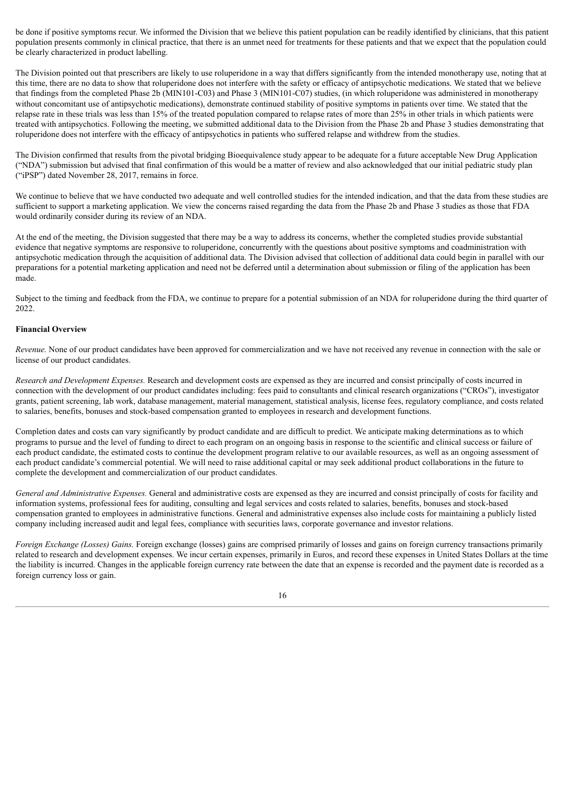be done if positive symptoms recur. We informed the Division that we believe this patient population can be readily identified by clinicians, that this patient population presents commonly in clinical practice, that there is an unmet need for treatments for these patients and that we expect that the population could be clearly characterized in product labelling.

The Division pointed out that prescribers are likely to use roluperidone in a way that differs significantly from the intended monotherapy use, noting that at this time, there are no data to show that roluperidone does not interfere with the safety or efficacy of antipsychotic medications. We stated that we believe that findings from the completed Phase 2b (MIN101-C03) and Phase 3 (MIN101-C07) studies, (in which roluperidone was administered in monotherapy without concomitant use of antipsychotic medications), demonstrate continued stability of positive symptoms in patients over time. We stated that the relapse rate in these trials was less than 15% of the treated population compared to relapse rates of more than 25% in other trials in which patients were treated with antipsychotics. Following the meeting, we submitted additional data to the Division from the Phase 2b and Phase 3 studies demonstrating that roluperidone does not interfere with the efficacy of antipsychotics in patients who suffered relapse and withdrew from the studies.

The Division confirmed that results from the pivotal bridging Bioequivalence study appear to be adequate for a future acceptable New Drug Application ("NDA") submission but advised that final confirmation of this would be a matter of review and also acknowledged that our initial pediatric study plan ("iPSP") dated November 28, 2017, remains in force.

We continue to believe that we have conducted two adequate and well controlled studies for the intended indication, and that the data from these studies are sufficient to support a marketing application. We view the concerns raised regarding the data from the Phase 2b and Phase 3 studies as those that FDA would ordinarily consider during its review of an NDA.

At the end of the meeting, the Division suggested that there may be a way to address its concerns, whether the completed studies provide substantial evidence that negative symptoms are responsive to roluperidone, concurrently with the questions about positive symptoms and coadministration with antipsychotic medication through the acquisition of additional data. The Division advised that collection of additional data could begin in parallel with our preparations for a potential marketing application and need not be deferred until a determination about submission or filing of the application has been made.

Subject to the timing and feedback from the FDA, we continue to prepare for a potential submission of an NDA for roluperidone during the third quarter of 2022

#### **Financial Overview**

*Revenue.* None of our product candidates have been approved for commercialization and we have not received any revenue in connection with the sale or license of our product candidates.

*Research and Development Expenses.* Research and development costs are expensed as they are incurred and consist principally of costs incurred in connection with the development of our product candidates including: fees paid to consultants and clinical research organizations ("CROs"), investigator grants, patient screening, lab work, database management, material management, statistical analysis, license fees, regulatory compliance, and costs related to salaries, benefits, bonuses and stock-based compensation granted to employees in research and development functions.

Completion dates and costs can vary significantly by product candidate and are difficult to predict. We anticipate making determinations as to which programs to pursue and the level of funding to direct to each program on an ongoing basis in response to the scientific and clinical success or failure of each product candidate, the estimated costs to continue the development program relative to our available resources, as well as an ongoing assessment of each product candidate's commercial potential. We will need to raise additional capital or may seek additional product collaborations in the future to complete the development and commercialization of our product candidates.

*General and Administrative Expenses.* General and administrative costs are expensed as they are incurred and consist principally of costs for facility and information systems, professional fees for auditing, consulting and legal services and costs related to salaries, benefits, bonuses and stock-based compensation granted to employees in administrative functions. General and administrative expenses also include costs for maintaining a publicly listed company including increased audit and legal fees, compliance with securities laws, corporate governance and investor relations.

*Foreign Exchange (Losses) Gains.* Foreign exchange (losses) gains are comprised primarily of losses and gains on foreign currency transactions primarily related to research and development expenses. We incur certain expenses, primarily in Euros, and record these expenses in United States Dollars at the time the liability is incurred. Changes in the applicable foreign currency rate between the date that an expense is recorded and the payment date is recorded as a foreign currency loss or gain.

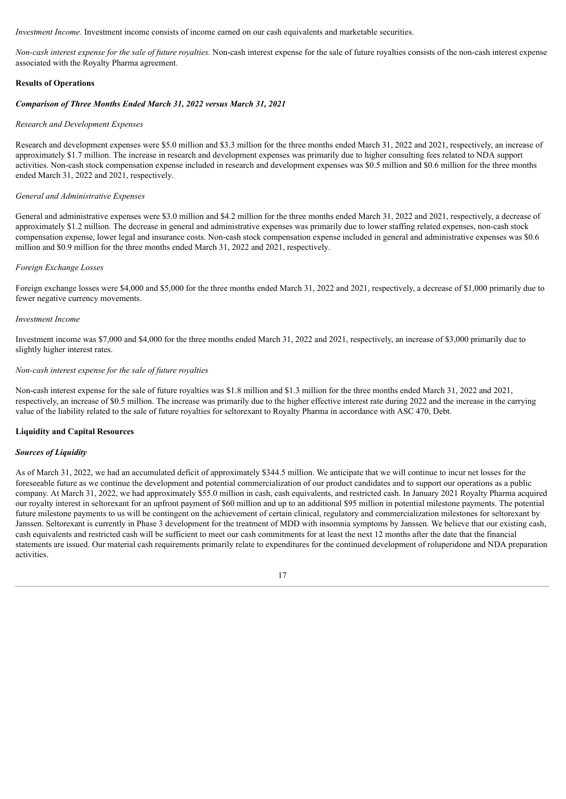*Investment Income.* Investment income consists of income earned on our cash equivalents and marketable securities.

*Non-cash interest expense for the sale of future royalties.* Non-cash interest expense for the sale of future royalties consists of the non-cash interest expense associated with the Royalty Pharma agreement.

#### **Results of Operations**

#### *Comparison of Three Months Ended March 31, 2022 versus March 31, 2021*

#### *Research and Development Expenses*

Research and development expenses were \$5.0 million and \$3.3 million for the three months ended March 31, 2022 and 2021, respectively, an increase of approximately \$1.7 million. The increase in research and development expenses was primarily due to higher consulting fees related to NDA support activities. Non-cash stock compensation expense included in research and development expenses was \$0.5 million and \$0.6 million for the three months ended March 31, 2022 and 2021, respectively.

#### *General and Administrative Expenses*

General and administrative expenses were \$3.0 million and \$4.2 million for the three months ended March 31, 2022 and 2021, respectively, a decrease of approximately \$1.2 million. The decrease in general and administrative expenses was primarily due to lower staffing related expenses, non-cash stock compensation expense, lower legal and insurance costs. Non-cash stock compensation expense included in general and administrative expenses was \$0.6 million and \$0.9 million for the three months ended March 31, 2022 and 2021, respectively.

#### *Foreign Exchange Losses*

Foreign exchange losses were \$4,000 and \$5,000 for the three months ended March 31, 2022 and 2021, respectively, a decrease of \$1,000 primarily due to fewer negative currency movements.

#### *Investment Income*

Investment income was \$7,000 and \$4,000 for the three months ended March 31, 2022 and 2021, respectively, an increase of \$3,000 primarily due to slightly higher interest rates.

#### *Non-cash interest expense for the sale of future royalties*

Non-cash interest expense for the sale of future royalties was \$1.8 million and \$1.3 million for the three months ended March 31, 2022 and 2021, respectively, an increase of \$0.5 million. The increase was primarily due to the higher effective interest rate during 2022 and the increase in the carrying value of the liability related to the sale of future royalties for seltorexant to Royalty Pharma in accordance with ASC 470, Debt.

#### **Liquidity and Capital Resources**

#### *Sources of Liquidity*

As of March 31, 2022, we had an accumulated deficit of approximately \$344.5 million. We anticipate that we will continue to incur net losses for the foreseeable future as we continue the development and potential commercialization of our product candidates and to support our operations as a public company. At March 31, 2022, we had approximately \$55.0 million in cash, cash equivalents, and restricted cash. In January 2021 Royalty Pharma acquired our royalty interest in seltorexant for an upfront payment of \$60 million and up to an additional \$95 million in potential milestone payments. The potential future milestone payments to us will be contingent on the achievement of certain clinical, regulatory and commercialization milestones for seltorexant by Janssen. Seltorexant is currently in Phase 3 development for the treatment of MDD with insomnia symptoms by Janssen. We believe that our existing cash, cash equivalents and restricted cash will be sufficient to meet our cash commitments for at least the next 12 months after the date that the financial statements are issued. Our material cash requirements primarily relate to expenditures for the continued development of roluperidone and NDA preparation activities.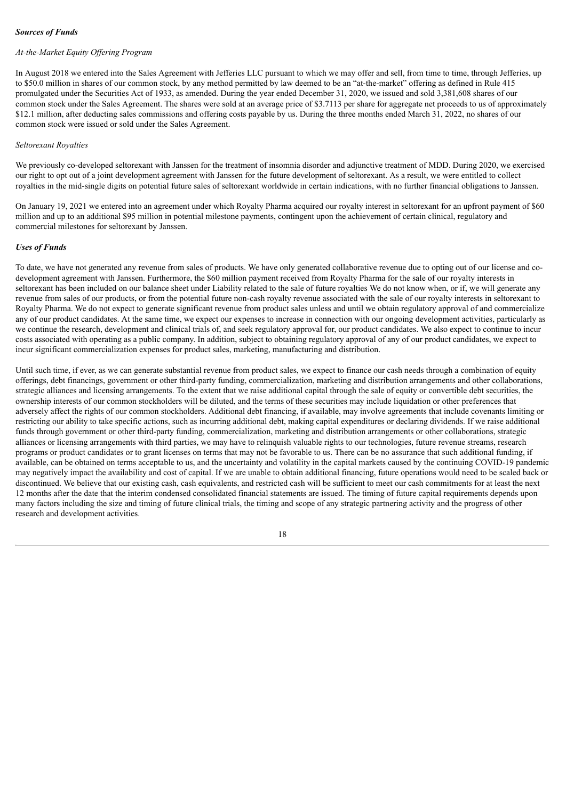#### *Sources of Funds*

#### *At-the-Market Equity Of ering Program*

In August 2018 we entered into the Sales Agreement with Jefferies LLC pursuant to which we may offer and sell, from time to time, through Jefferies, up to \$50.0 million in shares of our common stock, by any method permitted by law deemed to be an "at-the-market" offering as defined in Rule 415 promulgated under the Securities Act of 1933, as amended. During the year ended December 31, 2020, we issued and sold 3,381,608 shares of our common stock under the Sales Agreement. The shares were sold at an average price of \$3.7113 per share for aggregate net proceeds to us of approximately \$12.1 million, after deducting sales commissions and offering costs payable by us. During the three months ended March 31, 2022, no shares of our common stock were issued or sold under the Sales Agreement.

#### *Seltorexant Royalties*

We previously co-developed seltorexant with Janssen for the treatment of insomnia disorder and adjunctive treatment of MDD. During 2020, we exercised our right to opt out of a joint development agreement with Janssen for the future development of seltorexant. As a result, we were entitled to collect royalties in the mid-single digits on potential future sales of seltorexant worldwide in certain indications, with no further financial obligations to Janssen.

On January 19, 2021 we entered into an agreement under which Royalty Pharma acquired our royalty interest in seltorexant for an upfront payment of \$60 million and up to an additional \$95 million in potential milestone payments, contingent upon the achievement of certain clinical, regulatory and commercial milestones for seltorexant by Janssen.

#### *Uses of Funds*

To date, we have not generated any revenue from sales of products. We have only generated collaborative revenue due to opting out of our license and codevelopment agreement with Janssen. Furthermore, the \$60 million payment received from Royalty Pharma for the sale of our royalty interests in seltorexant has been included on our balance sheet under Liability related to the sale of future royalties We do not know when, or if, we will generate any revenue from sales of our products, or from the potential future non-cash royalty revenue associated with the sale of our royalty interests in seltorexant to Royalty Pharma. We do not expect to generate significant revenue from product sales unless and until we obtain regulatory approval of and commercialize any of our product candidates. At the same time, we expect our expenses to increase in connection with our ongoing development activities, particularly as we continue the research, development and clinical trials of, and seek regulatory approval for, our product candidates. We also expect to continue to incur costs associated with operating as a public company. In addition, subject to obtaining regulatory approval of any of our product candidates, we expect to incur significant commercialization expenses for product sales, marketing, manufacturing and distribution.

Until such time, if ever, as we can generate substantial revenue from product sales, we expect to finance our cash needs through a combination of equity offerings, debt financings, government or other third-party funding, commercialization, marketing and distribution arrangements and other collaborations, strategic alliances and licensing arrangements. To the extent that we raise additional capital through the sale of equity or convertible debt securities, the ownership interests of our common stockholders will be diluted, and the terms of these securities may include liquidation or other preferences that adversely affect the rights of our common stockholders. Additional debt financing, if available, may involve agreements that include covenants limiting or restricting our ability to take specific actions, such as incurring additional debt, making capital expenditures or declaring dividends. If we raise additional funds through government or other third-party funding, commercialization, marketing and distribution arrangements or other collaborations, strategic alliances or licensing arrangements with third parties, we may have to relinquish valuable rights to our technologies, future revenue streams, research programs or product candidates or to grant licenses on terms that may not be favorable to us. There can be no assurance that such additional funding, if available, can be obtained on terms acceptable to us, and the uncertainty and volatility in the capital markets caused by the continuing COVID-19 pandemic may negatively impact the availability and cost of capital. If we are unable to obtain additional financing, future operations would need to be scaled back or discontinued. We believe that our existing cash, cash equivalents, and restricted cash will be sufficient to meet our cash commitments for at least the next 12 months after the date that the interim condensed consolidated financial statements are issued. The timing of future capital requirements depends upon many factors including the size and timing of future clinical trials, the timing and scope of any strategic partnering activity and the progress of other research and development activities.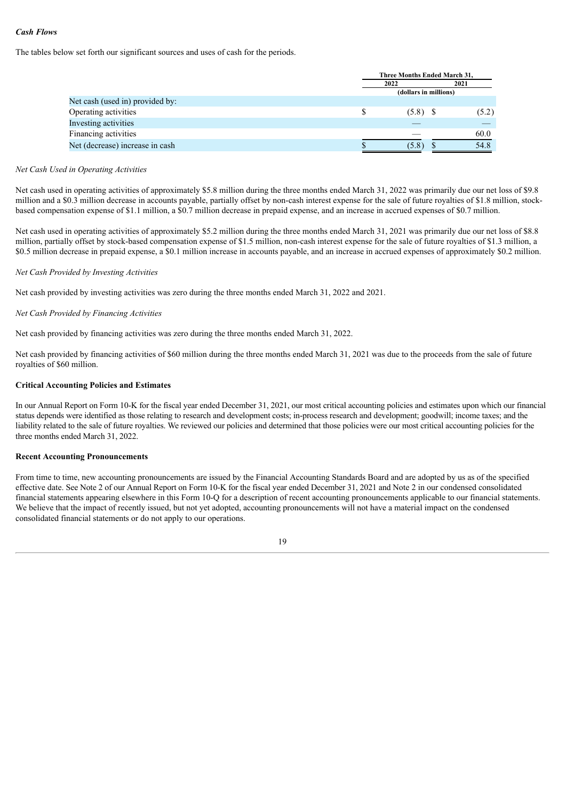#### *Cash Flows*

The tables below set forth our significant sources and uses of cash for the periods.

|                                 | Three Months Ended March 31, |  |       |
|---------------------------------|------------------------------|--|-------|
|                                 | 2022                         |  | 2021  |
|                                 | (dollars in millions)        |  |       |
| Net cash (used in) provided by: |                              |  |       |
| Operating activities            | (5.8) S                      |  | (5.2) |
| Investing activities            |                              |  |       |
| Financing activities            |                              |  | 60.0  |
| Net (decrease) increase in cash | (5.8)                        |  | 54.8  |

#### *Net Cash Used in Operating Activities*

Net cash used in operating activities of approximately \$5.8 million during the three months ended March 31, 2022 was primarily due our net loss of \$9.8 million and a \$0.3 million decrease in accounts payable, partially offset by non-cash interest expense for the sale of future royalties of \$1.8 million, stockbased compensation expense of \$1.1 million, a \$0.7 million decrease in prepaid expense, and an increase in accrued expenses of \$0.7 million.

Net cash used in operating activities of approximately \$5.2 million during the three months ended March 31, 2021 was primarily due our net loss of \$8.8 million, partially offset by stock-based compensation expense of \$1.5 million, non-cash interest expense for the sale of future royalties of \$1.3 million, a \$0.5 million decrease in prepaid expense, a \$0.1 million increase in accounts payable, and an increase in accrued expenses of approximately \$0.2 million.

#### *Net Cash Provided by Investing Activities*

Net cash provided by investing activities was zero during the three months ended March 31, 2022 and 2021.

#### *Net Cash Provided by Financing Activities*

Net cash provided by financing activities was zero during the three months ended March 31, 2022.

Net cash provided by financing activities of \$60 million during the three months ended March 31, 2021 was due to the proceeds from the sale of future royalties of \$60 million.

#### **Critical Accounting Policies and Estimates**

In our Annual Report on Form 10-K for the fiscal year ended December 31, 2021, our most critical accounting policies and estimates upon which our financial status depends were identified as those relating to research and development costs; in-process research and development; goodwill; income taxes; and the liability related to the sale of future royalties. We reviewed our policies and determined that those policies were our most critical accounting policies for the three months ended March 31, 2022.

#### **Recent Accounting Pronouncements**

From time to time, new accounting pronouncements are issued by the Financial Accounting Standards Board and are adopted by us as of the specified effective date. See Note 2 of our Annual Report on Form 10-K for the fiscal year ended December 31, 2021 and Note 2 in our condensed consolidated financial statements appearing elsewhere in this Form 10-Q for a description of recent accounting pronouncements applicable to our financial statements. We believe that the impact of recently issued, but not yet adopted, accounting pronouncements will not have a material impact on the condensed consolidated financial statements or do not apply to our operations.

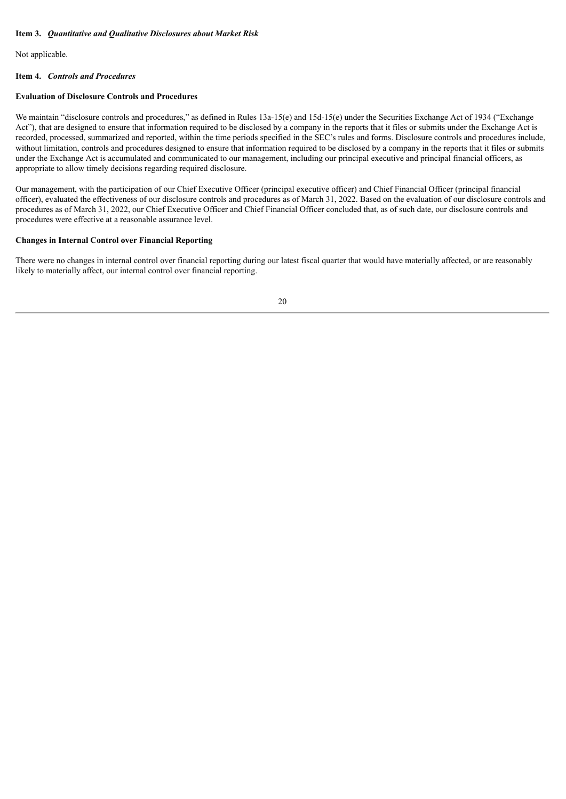<span id="page-19-0"></span>Not applicable.

#### <span id="page-19-1"></span>**Item 4.** *Controls and Procedures*

#### **Evaluation of Disclosure Controls and Procedures**

We maintain "disclosure controls and procedures," as defined in Rules 13a-15(e) and 15d-15(e) under the Securities Exchange Act of 1934 ("Exchange Act"), that are designed to ensure that information required to be disclosed by a company in the reports that it files or submits under the Exchange Act is recorded, processed, summarized and reported, within the time periods specified in the SEC's rules and forms. Disclosure controls and procedures include, without limitation, controls and procedures designed to ensure that information required to be disclosed by a company in the reports that it files or submits under the Exchange Act is accumulated and communicated to our management, including our principal executive and principal financial officers, as appropriate to allow timely decisions regarding required disclosure.

Our management, with the participation of our Chief Executive Officer (principal executive officer) and Chief Financial Officer (principal financial officer), evaluated the effectiveness of our disclosure controls and procedures as of March 31, 2022. Based on the evaluation of our disclosure controls and procedures as of March 31, 2022, our Chief Executive Officer and Chief Financial Officer concluded that, as of such date, our disclosure controls and procedures were effective at a reasonable assurance level.

#### **Changes in Internal Control over Financial Reporting**

There were no changes in internal control over financial reporting during our latest fiscal quarter that would have materially affected, or are reasonably likely to materially affect, our internal control over financial reporting.

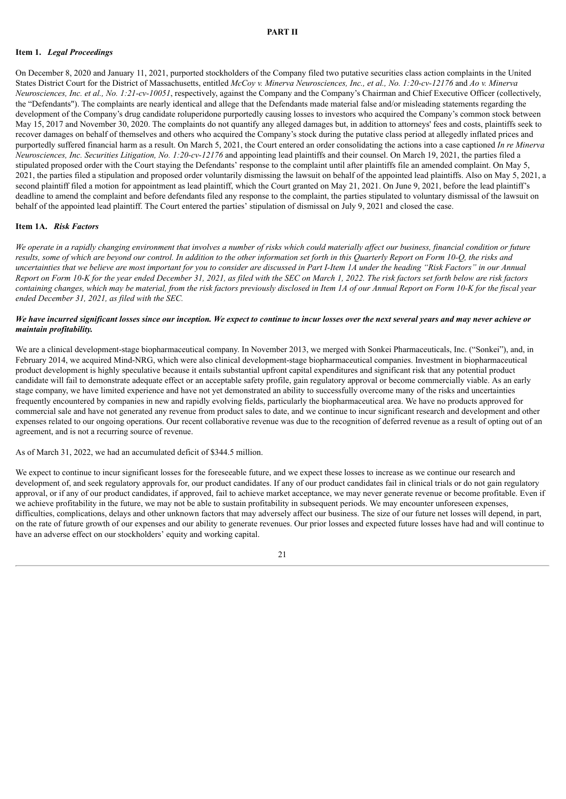#### **PART II**

#### <span id="page-20-1"></span><span id="page-20-0"></span>**Item 1.** *Legal Proceedings*

On December 8, 2020 and January 11, 2021, purported stockholders of the Company filed two putative securities class action complaints in the United States District Court for the District of Massachusetts, entitled McCoy v. Minerva Neurosciences, Inc., et al., No. 1:20-cv-12176 and Ao v. Minerva *Neurosciences, Inc. et al., No. 1:21-cv-10051*, respectively, against the Company and the Company's Chairman and Chief Executive Officer (collectively, the "Defendants"). The complaints are nearly identical and allege that the Defendants made material false and/or misleading statements regarding the development of the Company's drug candidate roluperidone purportedly causing losses to investors who acquired the Company's common stock between May 15, 2017 and November 30, 2020. The complaints do not quantify any alleged damages but, in addition to attorneys' fees and costs, plaintiffs seek to recover damages on behalf of themselves and others who acquired the Company's stock during the putative class period at allegedly inflated prices and purportedly suffered financial harm as a result. On March 5, 2021, the Court entered an order consolidating the actions into a case captioned *In re Minerva Neurosciences, Inc. Securities Litigation, No. 1:20-cv-12176* and appointing lead plaintiffs and their counsel. On March 19, 2021, the parties filed a stipulated proposed order with the Court staying the Defendants' response to the complaint until after plaintiffs file an amended complaint. On May 5, 2021, the parties filed a stipulation and proposed order voluntarily dismissing the lawsuit on behalf of the appointed lead plaintiffs. Also on May 5, 2021, a second plaintiff filed a motion for appointment as lead plaintiff, which the Court granted on May 21, 2021. On June 9, 2021, before the lead plaintiff's deadline to amend the complaint and before defendants filed any response to the complaint, the parties stipulated to voluntary dismissal of the lawsuit on behalf of the appointed lead plaintiff. The Court entered the parties' stipulation of dismissal on July 9, 2021 and closed the case.

#### <span id="page-20-2"></span>**Item 1A.** *Risk Factors*

We operate in a rapidly changing environment that involves a number of risks which could materially affect our business, financial condition or future results, some of which are beyond our control. In addition to the other information set forth in this Quarterly Report on Form 10-O, the risks and uncertainties that we believe are most important for you to consider are discussed in Part I-Item 1A under the heading "Risk Factors" in our Annual Report on Form 10-K for the year ended December 31, 2021, as filed with the SEC on March 1, 2022. The risk factors set forth below are risk factors containing changes, which may be material, from the risk factors previously disclosed in Item 1A of our Annual Report on Form 10-K for the fiscal year *ended December 31, 2021, as filed with the SEC.*

#### We have incurred significant losses since our inception. We expect to continue to incur losses over the next several vears and may never achieve or *maintain profitability.*

We are a clinical development-stage biopharmaceutical company. In November 2013, we merged with Sonkei Pharmaceuticals, Inc. ("Sonkei"), and, in February 2014, we acquired Mind-NRG, which were also clinical development-stage biopharmaceutical companies. Investment in biopharmaceutical product development is highly speculative because it entails substantial upfront capital expenditures and significant risk that any potential product candidate will fail to demonstrate adequate effect or an acceptable safety profile, gain regulatory approval or become commercially viable. As an early stage company, we have limited experience and have not yet demonstrated an ability to successfully overcome many of the risks and uncertainties frequently encountered by companies in new and rapidly evolving fields, particularly the biopharmaceutical area. We have no products approved for commercial sale and have not generated any revenue from product sales to date, and we continue to incur significant research and development and other expenses related to our ongoing operations. Our recent collaborative revenue was due to the recognition of deferred revenue as a result of opting out of an agreement, and is not a recurring source of revenue.

As of March 31, 2022, we had an accumulated deficit of \$344.5 million.

We expect to continue to incur significant losses for the foreseeable future, and we expect these losses to increase as we continue our research and development of, and seek regulatory approvals for, our product candidates. If any of our product candidates fail in clinical trials or do not gain regulatory approval, or if any of our product candidates, if approved, fail to achieve market acceptance, we may never generate revenue or become profitable. Even if we achieve profitability in the future, we may not be able to sustain profitability in subsequent periods. We may encounter unforeseen expenses, difficulties, complications, delays and other unknown factors that may adversely affect our business. The size of our future net losses will depend, in part, on the rate of future growth of our expenses and our ability to generate revenues. Our prior losses and expected future losses have had and will continue to have an adverse effect on our stockholders' equity and working capital.

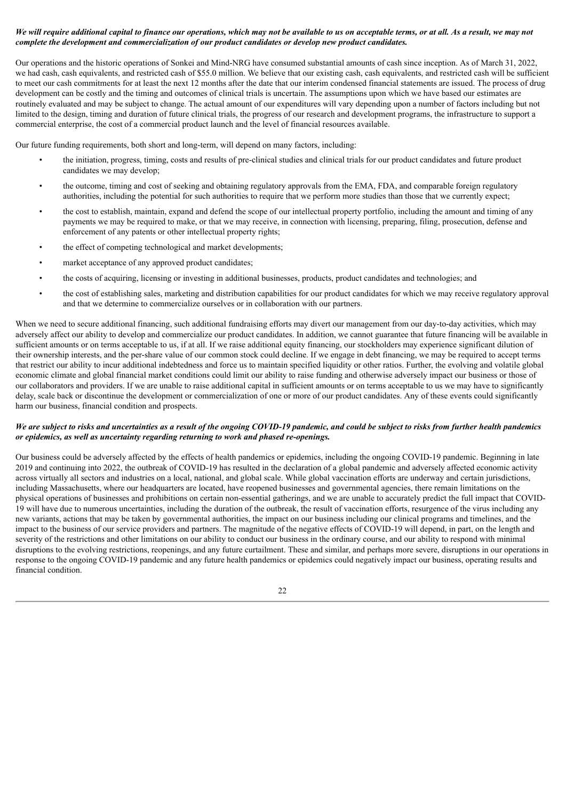#### We will require additional capital to finance our operations, which may not be available to us on acceptable terms, or at all. As a result, we may not *complete the development and commercialization of our product candidates or develop new product candidates.*

Our operations and the historic operations of Sonkei and Mind-NRG have consumed substantial amounts of cash since inception. As of March 31, 2022, we had cash, cash equivalents, and restricted cash of \$55.0 million. We believe that our existing cash, cash equivalents, and restricted cash will be sufficient to meet our cash commitments for at least the next 12 months after the date that our interim condensed financial statements are issued. The process of drug development can be costly and the timing and outcomes of clinical trials is uncertain. The assumptions upon which we have based our estimates are routinely evaluated and may be subject to change. The actual amount of our expenditures will vary depending upon a number of factors including but not limited to the design, timing and duration of future clinical trials, the progress of our research and development programs, the infrastructure to support a commercial enterprise, the cost of a commercial product launch and the level of financial resources available.

Our future funding requirements, both short and long-term, will depend on many factors, including:

- the initiation, progress, timing, costs and results of pre-clinical studies and clinical trials for our product candidates and future product candidates we may develop;
- the outcome, timing and cost of seeking and obtaining regulatory approvals from the EMA, FDA, and comparable foreign regulatory authorities, including the potential for such authorities to require that we perform more studies than those that we currently expect;
- the cost to establish, maintain, expand and defend the scope of our intellectual property portfolio, including the amount and timing of any payments we may be required to make, or that we may receive, in connection with licensing, preparing, filing, prosecution, defense and enforcement of any patents or other intellectual property rights;
- the effect of competing technological and market developments;
- market acceptance of any approved product candidates;
- the costs of acquiring, licensing or investing in additional businesses, products, product candidates and technologies; and
- the cost of establishing sales, marketing and distribution capabilities for our product candidates for which we may receive regulatory approval and that we determine to commercialize ourselves or in collaboration with our partners.

When we need to secure additional financing, such additional fundraising efforts may divert our management from our day-to-day activities, which may adversely affect our ability to develop and commercialize our product candidates. In addition, we cannot guarantee that future financing will be available in sufficient amounts or on terms acceptable to us, if at all. If we raise additional equity financing, our stockholders may experience significant dilution of their ownership interests, and the per-share value of our common stock could decline. If we engage in debt financing, we may be required to accept terms that restrict our ability to incur additional indebtedness and force us to maintain specified liquidity or other ratios. Further, the evolving and volatile global economic climate and global financial market conditions could limit our ability to raise funding and otherwise adversely impact our business or those of our collaborators and providers. If we are unable to raise additional capital in sufficient amounts or on terms acceptable to us we may have to significantly delay, scale back or discontinue the development or commercialization of one or more of our product candidates. Any of these events could significantly harm our business, financial condition and prospects.

#### We are subject to risks and uncertainties as a result of the ongoing COVID-19 pandemic, and could be subject to risks from further health pandemics *or epidemics, as well as uncertainty regarding returning to work and phased re-openings.*

Our business could be adversely affected by the effects of health pandemics or epidemics, including the ongoing COVID-19 pandemic. Beginning in late 2019 and continuing into 2022, the outbreak of COVID-19 has resulted in the declaration of a global pandemic and adversely affected economic activity across virtually all sectors and industries on a local, national, and global scale. While global vaccination efforts are underway and certain jurisdictions, including Massachusetts, where our headquarters are located, have reopened businesses and governmental agencies, there remain limitations on the physical operations of businesses and prohibitions on certain non-essential gatherings, and we are unable to accurately predict the full impact that COVID-19 will have due to numerous uncertainties, including the duration of the outbreak, the result of vaccination efforts, resurgence of the virus including any new variants, actions that may be taken by governmental authorities, the impact on our business including our clinical programs and timelines, and the impact to the business of our service providers and partners. The magnitude of the negative effects of COVID-19 will depend, in part, on the length and severity of the restrictions and other limitations on our ability to conduct our business in the ordinary course, and our ability to respond with minimal disruptions to the evolving restrictions, reopenings, and any future curtailment. These and similar, and perhaps more severe, disruptions in our operations in response to the ongoing COVID-19 pandemic and any future health pandemics or epidemics could negatively impact our business, operating results and financial condition.

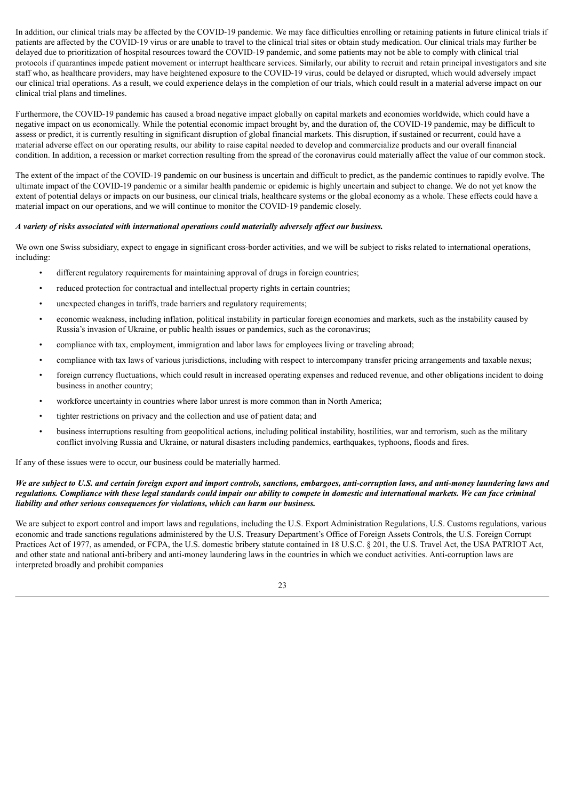In addition, our clinical trials may be affected by the COVID-19 pandemic. We may face difficulties enrolling or retaining patients in future clinical trials if patients are affected by the COVID-19 virus or are unable to travel to the clinical trial sites or obtain study medication. Our clinical trials may further be delayed due to prioritization of hospital resources toward the COVID-19 pandemic, and some patients may not be able to comply with clinical trial protocols if quarantines impede patient movement or interrupt healthcare services. Similarly, our ability to recruit and retain principal investigators and site staff who, as healthcare providers, may have heightened exposure to the COVID-19 virus, could be delayed or disrupted, which would adversely impact our clinical trial operations. As a result, we could experience delays in the completion of our trials, which could result in a material adverse impact on our clinical trial plans and timelines.

Furthermore, the COVID-19 pandemic has caused a broad negative impact globally on capital markets and economies worldwide, which could have a negative impact on us economically. While the potential economic impact brought by, and the duration of, the COVID-19 pandemic, may be difficult to assess or predict, it is currently resulting in significant disruption of global financial markets. This disruption, if sustained or recurrent, could have a material adverse effect on our operating results, our ability to raise capital needed to develop and commercialize products and our overall financial condition. In addition, a recession or market correction resulting from the spread of the coronavirus could materially affect the value of our common stock.

The extent of the impact of the COVID-19 pandemic on our business is uncertain and difficult to predict, as the pandemic continues to rapidly evolve. The ultimate impact of the COVID-19 pandemic or a similar health pandemic or epidemic is highly uncertain and subject to change. We do not yet know the extent of potential delays or impacts on our business, our clinical trials, healthcare systems or the global economy as a whole. These effects could have a material impact on our operations, and we will continue to monitor the COVID-19 pandemic closely.

#### *A variety of risks associated with international operations could materially adversely af ect our business.*

We own one Swiss subsidiary, expect to engage in significant cross-border activities, and we will be subject to risks related to international operations, including:

- different regulatory requirements for maintaining approval of drugs in foreign countries;
- reduced protection for contractual and intellectual property rights in certain countries;
- unexpected changes in tariffs, trade barriers and regulatory requirements;
- economic weakness, including inflation, political instability in particular foreign economies and markets, such as the instability caused by Russia's invasion of Ukraine, or public health issues or pandemics, such as the coronavirus;
- compliance with tax, employment, immigration and labor laws for employees living or traveling abroad;
- compliance with tax laws of various jurisdictions, including with respect to intercompany transfer pricing arrangements and taxable nexus;
- foreign currency fluctuations, which could result in increased operating expenses and reduced revenue, and other obligations incident to doing business in another country;
- workforce uncertainty in countries where labor unrest is more common than in North America;
- tighter restrictions on privacy and the collection and use of patient data; and
- business interruptions resulting from geopolitical actions, including political instability, hostilities, war and terrorism, such as the military conflict involving Russia and Ukraine, or natural disasters including pandemics, earthquakes, typhoons, floods and fires.

If any of these issues were to occur, our business could be materially harmed.

#### We are subject to U.S. and certain foreign export and import controls, sanctions, embargoes, anti-corruption laws, and anti-money laundering laws and regulations. Compliance with these legal standards could impair our ability to compete in domestic and international markets. We can face criminal *liability and other serious consequences for violations, which can harm our business.*

We are subject to export control and import laws and regulations, including the U.S. Export Administration Regulations, U.S. Customs regulations, various economic and trade sanctions regulations administered by the U.S. Treasury Department's Office of Foreign Assets Controls, the U.S. Foreign Corrupt Practices Act of 1977, as amended, or FCPA, the U.S. domestic bribery statute contained in 18 U.S.C. § 201, the U.S. Travel Act, the USA PATRIOT Act, and other state and national anti-bribery and anti-money laundering laws in the countries in which we conduct activities. Anti-corruption laws are interpreted broadly and prohibit companies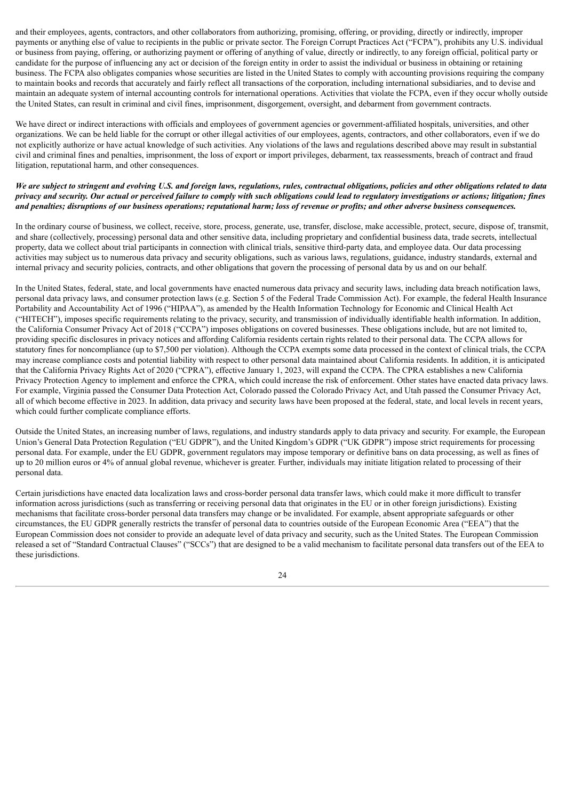and their employees, agents, contractors, and other collaborators from authorizing, promising, offering, or providing, directly or indirectly, improper payments or anything else of value to recipients in the public or private sector. The Foreign Corrupt Practices Act ("FCPA"), prohibits any U.S. individual or business from paying, offering, or authorizing payment or offering of anything of value, directly or indirectly, to any foreign official, political party or candidate for the purpose of influencing any act or decision of the foreign entity in order to assist the individual or business in obtaining or retaining business. The FCPA also obligates companies whose securities are listed in the United States to comply with accounting provisions requiring the company to maintain books and records that accurately and fairly reflect all transactions of the corporation, including international subsidiaries, and to devise and maintain an adequate system of internal accounting controls for international operations. Activities that violate the FCPA, even if they occur wholly outside the United States, can result in criminal and civil fines, imprisonment, disgorgement, oversight, and debarment from government contracts.

We have direct or indirect interactions with officials and employees of government agencies or government-affiliated hospitals, universities, and other organizations. We can be held liable for the corrupt or other illegal activities of our employees, agents, contractors, and other collaborators, even if we do not explicitly authorize or have actual knowledge of such activities. Any violations of the laws and regulations described above may result in substantial civil and criminal fines and penalties, imprisonment, the loss of export or import privileges, debarment, tax reassessments, breach of contract and fraud litigation, reputational harm, and other consequences.

#### We are subject to stringent and evolving U.S. and foreign laws, regulations, rules, contractual obligations, policies and other obligations related to data privacy and security. Our actual or perceived failure to comply with such obligations could lead to regulatory investigations or actions; litigation; fines and penalties; disruptions of our business operations; reputational harm; loss of revenue or profits; and other adverse business consequences.

In the ordinary course of business, we collect, receive, store, process, generate, use, transfer, disclose, make accessible, protect, secure, dispose of, transmit, and share (collectively, processing) personal data and other sensitive data, including proprietary and confidential business data, trade secrets, intellectual property, data we collect about trial participants in connection with clinical trials, sensitive third-party data, and employee data. Our data processing activities may subject us to numerous data privacy and security obligations, such as various laws, regulations, guidance, industry standards, external and internal privacy and security policies, contracts, and other obligations that govern the processing of personal data by us and on our behalf.

In the United States, federal, state, and local governments have enacted numerous data privacy and security laws, including data breach notification laws, personal data privacy laws, and consumer protection laws (e.g. Section 5 of the Federal Trade Commission Act). For example, the federal Health Insurance Portability and Accountability Act of 1996 ("HIPAA"), as amended by the Health Information Technology for Economic and Clinical Health Act ("HITECH"), imposes specific requirements relating to the privacy, security, and transmission of individually identifiable health information. In addition, the California Consumer Privacy Act of 2018 ("CCPA") imposes obligations on covered businesses. These obligations include, but are not limited to, providing specific disclosures in privacy notices and affording California residents certain rights related to their personal data. The CCPA allows for statutory fines for noncompliance (up to \$7,500 per violation). Although the CCPA exempts some data processed in the context of clinical trials, the CCPA may increase compliance costs and potential liability with respect to other personal data maintained about California residents. In addition, it is anticipated that the California Privacy Rights Act of 2020 ("CPRA"), effective January 1, 2023, will expand the CCPA. The CPRA establishes a new California Privacy Protection Agency to implement and enforce the CPRA, which could increase the risk of enforcement. Other states have enacted data privacy laws. For example, Virginia passed the Consumer Data Protection Act, Colorado passed the Colorado Privacy Act, and Utah passed the Consumer Privacy Act, all of which become effective in 2023. In addition, data privacy and security laws have been proposed at the federal, state, and local levels in recent years, which could further complicate compliance efforts.

Outside the United States, an increasing number of laws, regulations, and industry standards apply to data privacy and security. For example, the European Union's General Data Protection Regulation ("EU GDPR"), and the United Kingdom's GDPR ("UK GDPR") impose strict requirements for processing personal data. For example, under the EU GDPR, government regulators may impose temporary or definitive bans on data processing, as well as fines of up to 20 million euros or 4% of annual global revenue, whichever is greater. Further, individuals may initiate litigation related to processing of their personal data.

Certain jurisdictions have enacted data localization laws and cross-border personal data transfer laws, which could make it more difficult to transfer information across jurisdictions (such as transferring or receiving personal data that originates in the EU or in other foreign jurisdictions). Existing mechanisms that facilitate cross-border personal data transfers may change or be invalidated. For example, absent appropriate safeguards or other circumstances, the EU GDPR generally restricts the transfer of personal data to countries outside of the European Economic Area ("EEA") that the European Commission does not consider to provide an adequate level of data privacy and security, such as the United States. The European Commission released a set of "Standard Contractual Clauses" ("SCCs") that are designed to be a valid mechanism to facilitate personal data transfers out of the EEA to these jurisdictions.

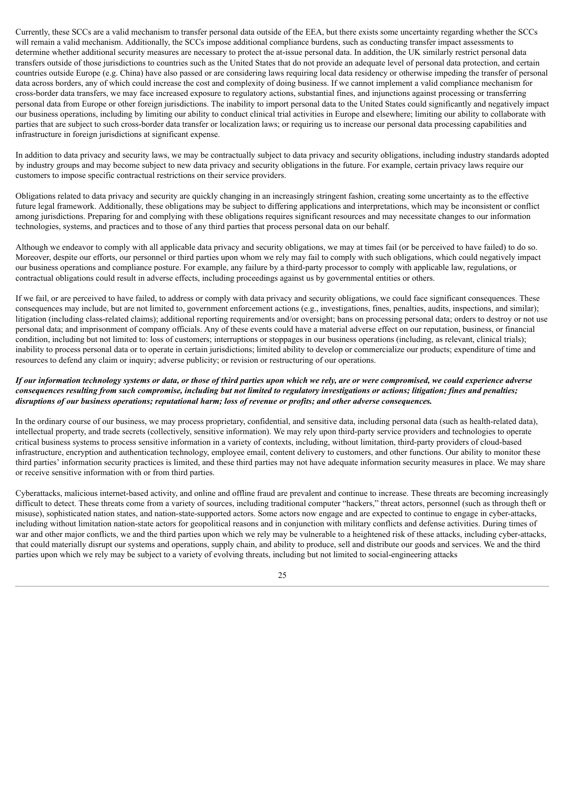Currently, these SCCs are a valid mechanism to transfer personal data outside of the EEA, but there exists some uncertainty regarding whether the SCCs will remain a valid mechanism. Additionally, the SCCs impose additional compliance burdens, such as conducting transfer impact assessments to determine whether additional security measures are necessary to protect the at-issue personal data. In addition, the UK similarly restrict personal data transfers outside of those jurisdictions to countries such as the United States that do not provide an adequate level of personal data protection, and certain countries outside Europe (e.g. China) have also passed or are considering laws requiring local data residency or otherwise impeding the transfer of personal data across borders, any of which could increase the cost and complexity of doing business. If we cannot implement a valid compliance mechanism for cross-border data transfers, we may face increased exposure to regulatory actions, substantial fines, and injunctions against processing or transferring personal data from Europe or other foreign jurisdictions. The inability to import personal data to the United States could significantly and negatively impact our business operations, including by limiting our ability to conduct clinical trial activities in Europe and elsewhere; limiting our ability to collaborate with parties that are subject to such cross-border data transfer or localization laws; or requiring us to increase our personal data processing capabilities and infrastructure in foreign jurisdictions at significant expense.

In addition to data privacy and security laws, we may be contractually subject to data privacy and security obligations, including industry standards adopted by industry groups and may become subject to new data privacy and security obligations in the future. For example, certain privacy laws require our customers to impose specific contractual restrictions on their service providers.

Obligations related to data privacy and security are quickly changing in an increasingly stringent fashion, creating some uncertainty as to the effective future legal framework. Additionally, these obligations may be subject to differing applications and interpretations, which may be inconsistent or conflict among jurisdictions. Preparing for and complying with these obligations requires significant resources and may necessitate changes to our information technologies, systems, and practices and to those of any third parties that process personal data on our behalf.

Although we endeavor to comply with all applicable data privacy and security obligations, we may at times fail (or be perceived to have failed) to do so. Moreover, despite our efforts, our personnel or third parties upon whom we rely may fail to comply with such obligations, which could negatively impact our business operations and compliance posture. For example, any failure by a third-party processor to comply with applicable law, regulations, or contractual obligations could result in adverse effects, including proceedings against us by governmental entities or others.

If we fail, or are perceived to have failed, to address or comply with data privacy and security obligations, we could face significant consequences. These consequences may include, but are not limited to, government enforcement actions (e.g., investigations, fines, penalties, audits, inspections, and similar); litigation (including class-related claims); additional reporting requirements and/or oversight; bans on processing personal data; orders to destroy or not use personal data; and imprisonment of company officials. Any of these events could have a material adverse effect on our reputation, business, or financial condition, including but not limited to: loss of customers; interruptions or stoppages in our business operations (including, as relevant, clinical trials); inability to process personal data or to operate in certain jurisdictions; limited ability to develop or commercialize our products; expenditure of time and resources to defend any claim or inquiry; adverse publicity; or revision or restructuring of our operations.

#### If our information technology systems or data, or those of third parties upon which we rely, are or were compromised, we could experience adverse consequences resulting from such compromise, including but not limited to regulatory investigations or actions; litigation; fines and penalties; disruptions of our business operations; reputational harm; loss of revenue or profits; and other adverse consequences.

In the ordinary course of our business, we may process proprietary, confidential, and sensitive data, including personal data (such as health-related data), intellectual property, and trade secrets (collectively, sensitive information). We may rely upon third-party service providers and technologies to operate critical business systems to process sensitive information in a variety of contexts, including, without limitation, third-party providers of cloud-based infrastructure, encryption and authentication technology, employee email, content delivery to customers, and other functions. Our ability to monitor these third parties' information security practices is limited, and these third parties may not have adequate information security measures in place. We may share or receive sensitive information with or from third parties.

Cyberattacks, malicious internet-based activity, and online and offline fraud are prevalent and continue to increase. These threats are becoming increasingly difficult to detect. These threats come from a variety of sources, including traditional computer "hackers," threat actors, personnel (such as through theft or misuse), sophisticated nation states, and nation-state-supported actors. Some actors now engage and are expected to continue to engage in cyber-attacks, including without limitation nation-state actors for geopolitical reasons and in conjunction with military conflicts and defense activities. During times of war and other major conflicts, we and the third parties upon which we rely may be vulnerable to a heightened risk of these attacks, including cyber-attacks, that could materially disrupt our systems and operations, supply chain, and ability to produce, sell and distribute our goods and services. We and the third parties upon which we rely may be subject to a variety of evolving threats, including but not limited to social-engineering attacks

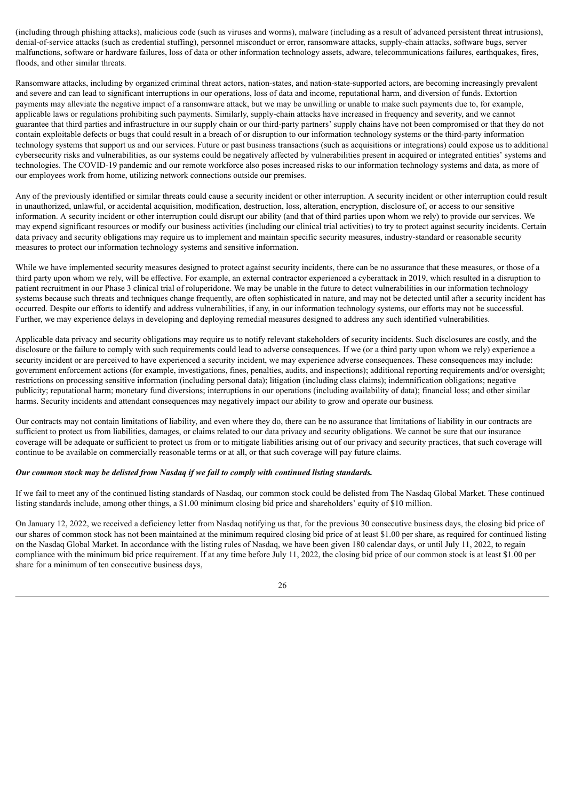(including through phishing attacks), malicious code (such as viruses and worms), malware (including as a result of advanced persistent threat intrusions), denial-of-service attacks (such as credential stuffing), personnel misconduct or error, ransomware attacks, supply-chain attacks, software bugs, server malfunctions, software or hardware failures, loss of data or other information technology assets, adware, telecommunications failures, earthquakes, fires, floods, and other similar threats.

Ransomware attacks, including by organized criminal threat actors, nation-states, and nation-state-supported actors, are becoming increasingly prevalent and severe and can lead to significant interruptions in our operations, loss of data and income, reputational harm, and diversion of funds. Extortion payments may alleviate the negative impact of a ransomware attack, but we may be unwilling or unable to make such payments due to, for example, applicable laws or regulations prohibiting such payments. Similarly, supply-chain attacks have increased in frequency and severity, and we cannot guarantee that third parties and infrastructure in our supply chain or our third-party partners' supply chains have not been compromised or that they do not contain exploitable defects or bugs that could result in a breach of or disruption to our information technology systems or the third-party information technology systems that support us and our services. Future or past business transactions (such as acquisitions or integrations) could expose us to additional cybersecurity risks and vulnerabilities, as our systems could be negatively affected by vulnerabilities present in acquired or integrated entities' systems and technologies. The COVID-19 pandemic and our remote workforce also poses increased risks to our information technology systems and data, as more of our employees work from home, utilizing network connections outside our premises.

Any of the previously identified or similar threats could cause a security incident or other interruption. A security incident or other interruption could result in unauthorized, unlawful, or accidental acquisition, modification, destruction, loss, alteration, encryption, disclosure of, or access to our sensitive information. A security incident or other interruption could disrupt our ability (and that of third parties upon whom we rely) to provide our services. We may expend significant resources or modify our business activities (including our clinical trial activities) to try to protect against security incidents. Certain data privacy and security obligations may require us to implement and maintain specific security measures, industry-standard or reasonable security measures to protect our information technology systems and sensitive information.

While we have implemented security measures designed to protect against security incidents, there can be no assurance that these measures, or those of a third party upon whom we rely, will be effective. For example, an external contractor experienced a cyberattack in 2019, which resulted in a disruption to patient recruitment in our Phase 3 clinical trial of roluperidone. We may be unable in the future to detect vulnerabilities in our information technology systems because such threats and techniques change frequently, are often sophisticated in nature, and may not be detected until after a security incident has occurred. Despite our efforts to identify and address vulnerabilities, if any, in our information technology systems, our efforts may not be successful. Further, we may experience delays in developing and deploying remedial measures designed to address any such identified vulnerabilities.

Applicable data privacy and security obligations may require us to notify relevant stakeholders of security incidents. Such disclosures are costly, and the disclosure or the failure to comply with such requirements could lead to adverse consequences. If we (or a third party upon whom we rely) experience a security incident or are perceived to have experienced a security incident, we may experience adverse consequences. These consequences may include: government enforcement actions (for example, investigations, fines, penalties, audits, and inspections); additional reporting requirements and/or oversight; restrictions on processing sensitive information (including personal data); litigation (including class claims); indemnification obligations; negative publicity; reputational harm; monetary fund diversions; interruptions in our operations (including availability of data); financial loss; and other similar harms. Security incidents and attendant consequences may negatively impact our ability to grow and operate our business.

Our contracts may not contain limitations of liability, and even where they do, there can be no assurance that limitations of liability in our contracts are sufficient to protect us from liabilities, damages, or claims related to our data privacy and security obligations. We cannot be sure that our insurance coverage will be adequate or sufficient to protect us from or to mitigate liabilities arising out of our privacy and security practices, that such coverage will continue to be available on commercially reasonable terms or at all, or that such coverage will pay future claims.

#### *Our common stock may be delisted from Nasdaq if we fail to comply with continued listing standards.*

If we fail to meet any of the continued listing standards of Nasdaq, our common stock could be delisted from The Nasdaq Global Market. These continued listing standards include, among other things, a \$1.00 minimum closing bid price and shareholders' equity of \$10 million.

On January 12, 2022, we received a deficiency letter from Nasdaq notifying us that, for the previous 30 consecutive business days, the closing bid price of our shares of common stock has not been maintained at the minimum required closing bid price of at least \$1.00 per share, as required for continued listing on the Nasdaq Global Market. In accordance with the listing rules of Nasdaq, we have been given 180 calendar days, or until July 11, 2022, to regain compliance with the minimum bid price requirement. If at any time before July 11, 2022, the closing bid price of our common stock is at least \$1.00 per share for a minimum of ten consecutive business days,

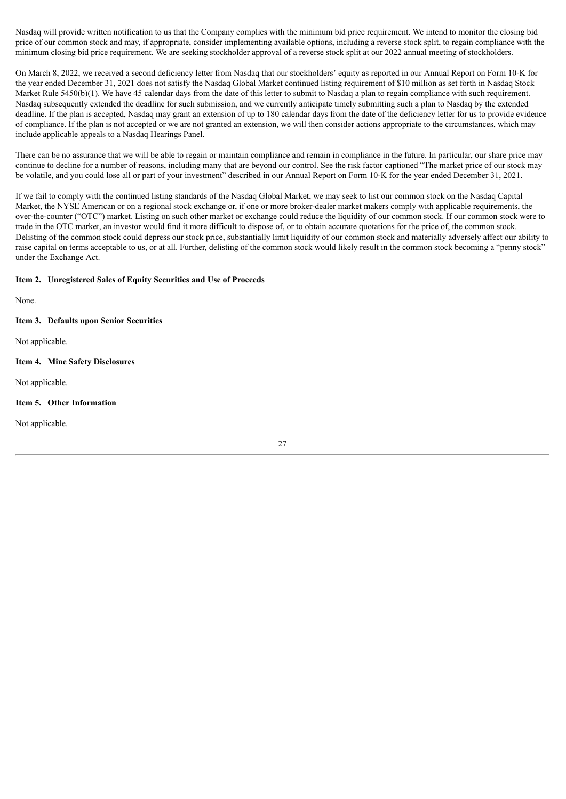Nasdaq will provide written notification to us that the Company complies with the minimum bid price requirement. We intend to monitor the closing bid price of our common stock and may, if appropriate, consider implementing available options, including a reverse stock split, to regain compliance with the minimum closing bid price requirement. We are seeking stockholder approval of a reverse stock split at our 2022 annual meeting of stockholders.

On March 8, 2022, we received a second deficiency letter from Nasdaq that our stockholders' equity as reported in our Annual Report on Form 10-K for the year ended December 31, 2021 does not satisfy the Nasdaq Global Market continued listing requirement of \$10 million as set forth in Nasdaq Stock Market Rule 5450(b)(1). We have 45 calendar days from the date of this letter to submit to Nasdaq a plan to regain compliance with such requirement. Nasdaq subsequently extended the deadline for such submission, and we currently anticipate timely submitting such a plan to Nasdaq by the extended deadline. If the plan is accepted, Nasdaq may grant an extension of up to 180 calendar days from the date of the deficiency letter for us to provide evidence of compliance. If the plan is not accepted or we are not granted an extension, we will then consider actions appropriate to the circumstances, which may include applicable appeals to a Nasdaq Hearings Panel.

There can be no assurance that we will be able to regain or maintain compliance and remain in compliance in the future. In particular, our share price may continue to decline for a number of reasons, including many that are beyond our control. See the risk factor captioned "The market price of our stock may be volatile, and you could lose all or part of your investment" described in our Annual Report on Form 10-K for the year ended December 31, 2021.

If we fail to comply with the continued listing standards of the Nasdaq Global Market, we may seek to list our common stock on the Nasdaq Capital Market, the NYSE American or on a regional stock exchange or, if one or more broker-dealer market makers comply with applicable requirements, the over-the-counter ("OTC") market. Listing on such other market or exchange could reduce the liquidity of our common stock. If our common stock were to trade in the OTC market, an investor would find it more difficult to dispose of, or to obtain accurate quotations for the price of, the common stock. Delisting of the common stock could depress our stock price, substantially limit liquidity of our common stock and materially adversely affect our ability to raise capital on terms acceptable to us, or at all. Further, delisting of the common stock would likely result in the common stock becoming a "penny stock" under the Exchange Act.

#### <span id="page-26-0"></span>**Item 2. Unregistered Sales of Equity Securities and Use of Proceeds**

None.

#### <span id="page-26-1"></span>**Item 3. Defaults upon Senior Securities**

Not applicable.

#### <span id="page-26-2"></span>**Item 4. Mine Safety Disclosures**

Not applicable.

#### <span id="page-26-3"></span>**Item 5. Other Information**

Not applicable.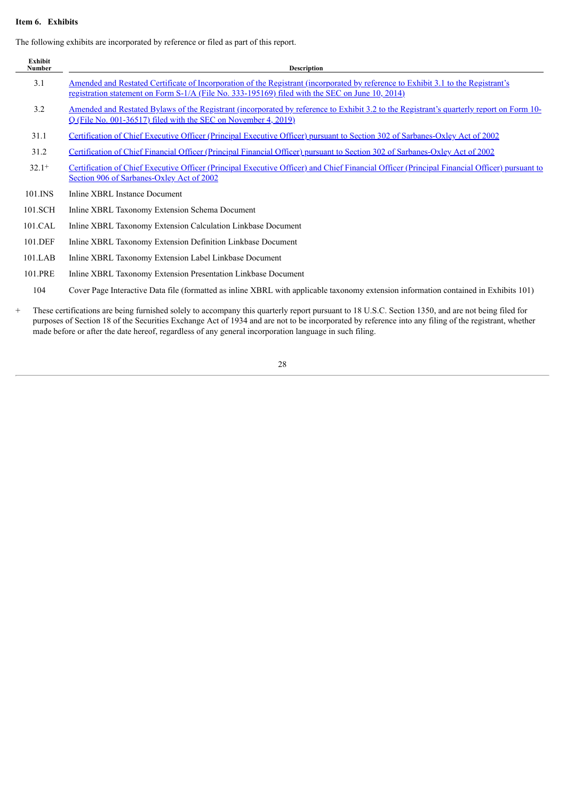#### <span id="page-27-0"></span>**Item 6. Exhibits**

The following exhibits are incorporated by reference or filed as part of this report.

| Exhibit<br>Number | <b>Description</b>                                                                                                                                                                                                                     |
|-------------------|----------------------------------------------------------------------------------------------------------------------------------------------------------------------------------------------------------------------------------------|
| 3.1               | Amended and Restated Certificate of Incorporation of the Registrant (incorporated by reference to Exhibit 3.1 to the Registrant's<br>registration statement on Form $S-1/A$ (File No. 333-195169) filed with the SEC on June 10, 2014) |
| 3.2               | Amended and Restated Bylaws of the Registrant (incorporated by reference to Exhibit 3.2 to the Registrant's quarterly report on Form 10-<br>$Q$ (File No. 001-36517) filed with the SEC on November 4, 2019)                           |
| 31.1              | <u>Certification of Chief Executive Officer (Principal Executive Officer) pursuant to Section 302 of Sarbanes-Oxley Act of 2002</u>                                                                                                    |
| 31.2              | <u>Certification of Chief Financial Officer (Principal Financial Officer) pursuant to Section 302 of Sarbanes-Oxley Act of 2002</u>                                                                                                    |
| $32.1+$           | Certification of Chief Executive Officer (Principal Executive Officer) and Chief Financial Officer (Principal Financial Officer) pursuant to<br>Section 906 of Sarbanes-Oxley Act of 2002                                              |
| 101.INS           | Inline XBRL Instance Document                                                                                                                                                                                                          |
| 101.SCH           | Inline XBRL Taxonomy Extension Schema Document                                                                                                                                                                                         |
| 101.CAL           | Inline XBRL Taxonomy Extension Calculation Linkbase Document                                                                                                                                                                           |
| 101.DEF           | Inline XBRL Taxonomy Extension Definition Linkbase Document                                                                                                                                                                            |
| $101$ .LAB        | Inline XBRL Taxonomy Extension Label Linkbase Document                                                                                                                                                                                 |
| 101.PRE           | Inline XBRL Taxonomy Extension Presentation Linkbase Document                                                                                                                                                                          |
| 104               | Cover Page Interactive Data file (formatted as inline XBRL with applicable taxonomy extension information contained in Exhibits 101)                                                                                                   |
|                   | These certifications are being furnished solely to accompany this quarterly report pursuant to 18 U.S.C. Section 1350, and are not being filed for                                                                                     |

+ These certifications are being furnished solely to accompany this quarterly report pursuant to 18 U.S.C. Section 1350, and are not being filed for purposes of Section 18 of the Securities Exchange Act of 1934 and are not to be incorporated by reference into any filing of the registrant, whether made before or after the date hereof, regardless of any general incorporation language in such filing.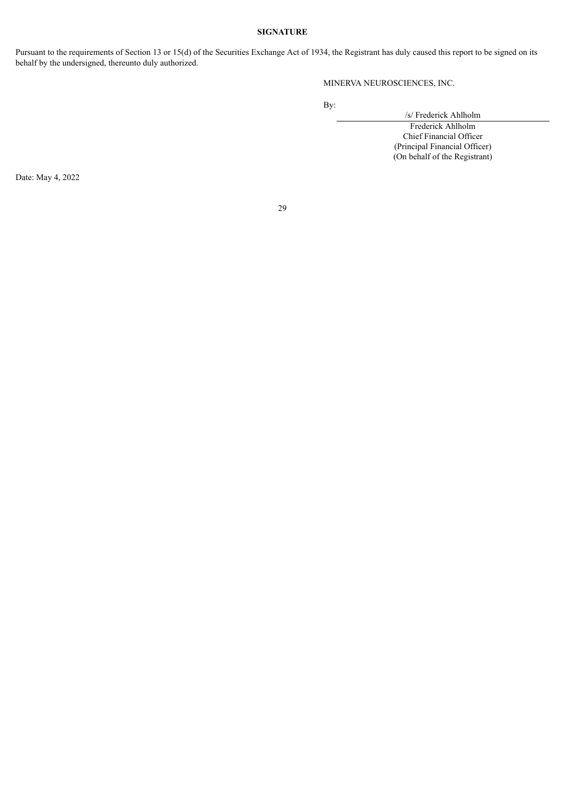#### **SIGNATURE**

<span id="page-28-0"></span>Pursuant to the requirements of Section 13 or 15(d) of the Securities Exchange Act of 1934, the Registrant has duly caused this report to be signed on its behalf by the undersigned, thereunto duly authorized.

MINERVA NEUROSCIENCES, INC.

By:

/s/ Frederick Ahlholm Frederick Ahlholm Chief Financial Officer (Principal Financial Officer) (On behalf of the Registrant)

Date: May 4, 2022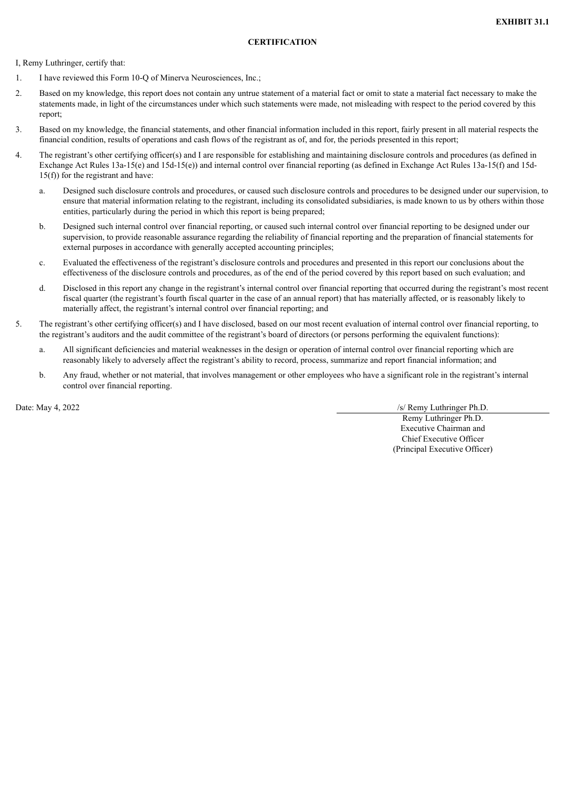<span id="page-29-0"></span>I, Remy Luthringer, certify that:

- 1. I have reviewed this Form 10-Q of Minerva Neurosciences, Inc.;
- 2. Based on my knowledge, this report does not contain any untrue statement of a material fact or omit to state a material fact necessary to make the statements made, in light of the circumstances under which such statements were made, not misleading with respect to the period covered by this report;
- 3. Based on my knowledge, the financial statements, and other financial information included in this report, fairly present in all material respects the financial condition, results of operations and cash flows of the registrant as of, and for, the periods presented in this report;
- 4. The registrant's other certifying officer(s) and I are responsible for establishing and maintaining disclosure controls and procedures (as defined in Exchange Act Rules 13a-15(e) and 15d-15(e)) and internal control over financial reporting (as defined in Exchange Act Rules 13a-15(f) and 15d-15(f)) for the registrant and have:
	- a. Designed such disclosure controls and procedures, or caused such disclosure controls and procedures to be designed under our supervision, to ensure that material information relating to the registrant, including its consolidated subsidiaries, is made known to us by others within those entities, particularly during the period in which this report is being prepared;
	- b. Designed such internal control over financial reporting, or caused such internal control over financial reporting to be designed under our supervision, to provide reasonable assurance regarding the reliability of financial reporting and the preparation of financial statements for external purposes in accordance with generally accepted accounting principles;
	- c. Evaluated the effectiveness of the registrant's disclosure controls and procedures and presented in this report our conclusions about the effectiveness of the disclosure controls and procedures, as of the end of the period covered by this report based on such evaluation; and
	- d. Disclosed in this report any change in the registrant's internal control over financial reporting that occurred during the registrant's most recent fiscal quarter (the registrant's fourth fiscal quarter in the case of an annual report) that has materially affected, or is reasonably likely to materially affect, the registrant's internal control over financial reporting; and
- 5. The registrant's other certifying officer(s) and I have disclosed, based on our most recent evaluation of internal control over financial reporting, to the registrant's auditors and the audit committee of the registrant's board of directors (or persons performing the equivalent functions):
	- a. All significant deficiencies and material weaknesses in the design or operation of internal control over financial reporting which are reasonably likely to adversely affect the registrant's ability to record, process, summarize and report financial information; and
	- b. Any fraud, whether or not material, that involves management or other employees who have a significant role in the registrant's internal control over financial reporting.

Date: May 4, 2022 /s/ Remy Luthringer Ph.D.

Remy Luthringer Ph.D. Executive Chairman and Chief Executive Officer (Principal Executive Officer)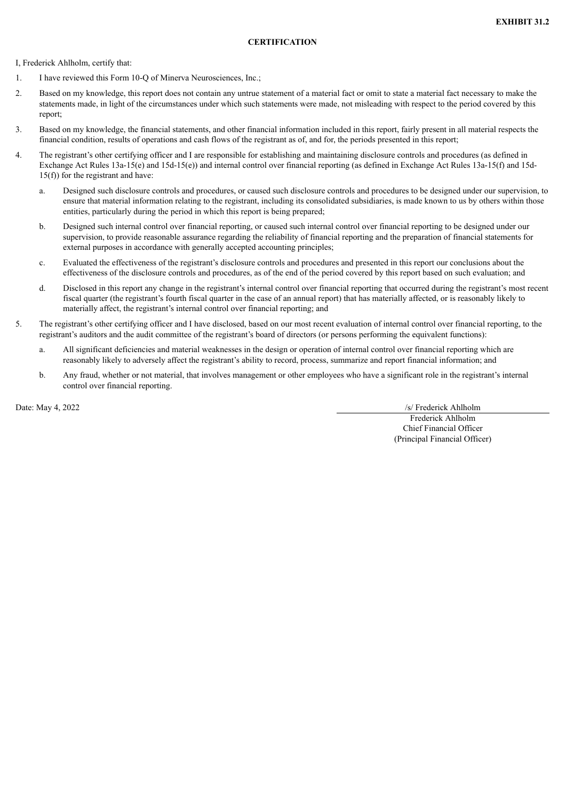<span id="page-30-0"></span>I, Frederick Ahlholm, certify that:

- 1. I have reviewed this Form 10-Q of Minerva Neurosciences, Inc.;
- 2. Based on my knowledge, this report does not contain any untrue statement of a material fact or omit to state a material fact necessary to make the statements made, in light of the circumstances under which such statements were made, not misleading with respect to the period covered by this report;
- 3. Based on my knowledge, the financial statements, and other financial information included in this report, fairly present in all material respects the financial condition, results of operations and cash flows of the registrant as of, and for, the periods presented in this report;
- 4. The registrant's other certifying officer and I are responsible for establishing and maintaining disclosure controls and procedures (as defined in Exchange Act Rules 13a-15(e) and 15d-15(e)) and internal control over financial reporting (as defined in Exchange Act Rules 13a-15(f) and 15d-15(f)) for the registrant and have:
	- a. Designed such disclosure controls and procedures, or caused such disclosure controls and procedures to be designed under our supervision, to ensure that material information relating to the registrant, including its consolidated subsidiaries, is made known to us by others within those entities, particularly during the period in which this report is being prepared;
	- b. Designed such internal control over financial reporting, or caused such internal control over financial reporting to be designed under our supervision, to provide reasonable assurance regarding the reliability of financial reporting and the preparation of financial statements for external purposes in accordance with generally accepted accounting principles;
	- c. Evaluated the effectiveness of the registrant's disclosure controls and procedures and presented in this report our conclusions about the effectiveness of the disclosure controls and procedures, as of the end of the period covered by this report based on such evaluation; and
	- d. Disclosed in this report any change in the registrant's internal control over financial reporting that occurred during the registrant's most recent fiscal quarter (the registrant's fourth fiscal quarter in the case of an annual report) that has materially affected, or is reasonably likely to materially affect, the registrant's internal control over financial reporting; and
- 5. The registrant's other certifying officer and I have disclosed, based on our most recent evaluation of internal control over financial reporting, to the registrant's auditors and the audit committee of the registrant's board of directors (or persons performing the equivalent functions):
	- a. All significant deficiencies and material weaknesses in the design or operation of internal control over financial reporting which are reasonably likely to adversely affect the registrant's ability to record, process, summarize and report financial information; and
	- b. Any fraud, whether or not material, that involves management or other employees who have a significant role in the registrant's internal control over financial reporting.

Date: May 4, 2022 /s/ Frederick Ahlholm

Frederick Ahlholm Chief Financial Officer (Principal Financial Officer)